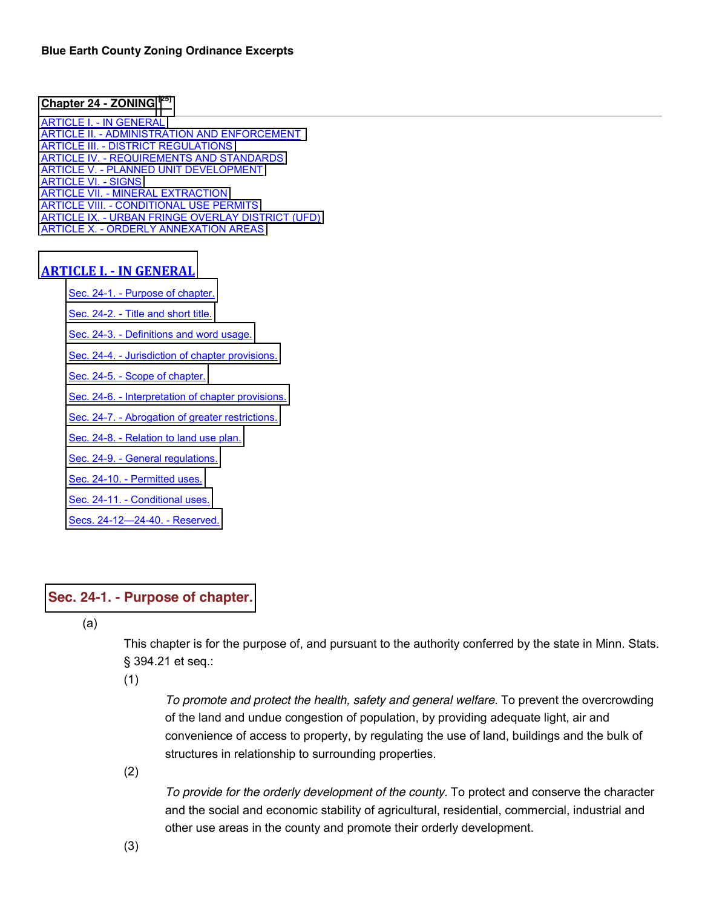### **[Chapter 24 -](javascript:void(0)) ZONING [\[25\]](javascript:void(0))**

ARTICLE I. - [IN GENERAL](http://library.municode.com/HTML/13415/level3/CD_ORD_CH24ZO_ARTIINGE.html) ARTICLE II. - [ADMINISTRATION AND ENFORCEMENT](http://library.municode.com/HTML/13415/level3/CD_ORD_CH24ZO_ARTIIADEN.html)  ARTICLE III. - [DISTRICT REGULATIONS](http://library.municode.com/HTML/13415/level3/CD_ORD_CH24ZO_ARTIIIDIRE.html) ARTICLE IV. - [REQUIREMENTS AND STANDARDS](http://library.municode.com/HTML/13415/level3/CD_ORD_CH24ZO_ARTIVREST.html) ARTICLE V. - [PLANNED UNIT DEVELOPMENT](http://library.municode.com/HTML/13415/level3/CD_ORD_CH24ZO_ARTVPLUNDE.html) [ARTICLE VI. -](http://library.municode.com/HTML/13415/level3/CD_ORD_CH24ZO_ARTVISI.html) SIGNS ARTICLE VII. - [MINERAL EXTRACTION](http://library.municode.com/HTML/13415/level3/CD_ORD_CH24ZO_ARTVIIMIEX.html) ARTICLE VIII. - [CONDITIONAL USE PERMITS](http://library.municode.com/HTML/13415/level3/CD_ORD_CH24ZO_ARTVIIICOUSPE.html) ARTICLE IX. - [URBAN FRINGE OVERLAY DISTRICT \(UFD\)](http://library.municode.com/HTML/13415/level3/CD_ORD_CH24ZO_ARTIXURFROVDIUF.html) ARTICLE X. - [ORDERLY ANNEXATION AREAS](http://library.municode.com/HTML/13415/level3/CD_ORD_CH24ZO_ARTXORANAR.html)

#### **ARTICLE I. - IN GENERAL**

Sec. 24-1. - [Purpose of chapter.](http://library.municode.com/HTML/13415/level3/CD_ORD_CH24ZO_ARTIINGE.html#CD_ORD_CH24ZO_ARTIINGE_S24-1PUCH)

Sec. 24-2. - [Title and short title.](http://library.municode.com/HTML/13415/level3/CD_ORD_CH24ZO_ARTIINGE.html#CD_ORD_CH24ZO_ARTIINGE_S24-2TISHTI)

Sec. 24-3. - [Definitions and word usage.](http://library.municode.com/HTML/13415/level3/CD_ORD_CH24ZO_ARTIINGE.html#CD_ORD_CH24ZO_ARTIINGE_S24-3DEWOUS)

Sec. 24-4. - [Jurisdiction of chapter provisions.](http://library.municode.com/HTML/13415/level3/CD_ORD_CH24ZO_ARTIINGE.html#CD_ORD_CH24ZO_ARTIINGE_S24-4JUCHPR)

Sec. 24-5. - [Scope of chapter.](http://library.municode.com/HTML/13415/level3/CD_ORD_CH24ZO_ARTIINGE.html#CD_ORD_CH24ZO_ARTIINGE_S24-5SCCH)

Sec. 24-6. - [Interpretation of chapter provisions.](http://library.municode.com/HTML/13415/level3/CD_ORD_CH24ZO_ARTIINGE.html#CD_ORD_CH24ZO_ARTIINGE_S24-6INCHPR)

Sec. 24-7. - [Abrogation of greater restrictions.](http://library.municode.com/HTML/13415/level3/CD_ORD_CH24ZO_ARTIINGE.html#CD_ORD_CH24ZO_ARTIINGE_S24-7ABGRRE)

Sec. 24-8. - [Relation to land use plan.](http://library.municode.com/HTML/13415/level3/CD_ORD_CH24ZO_ARTIINGE.html#CD_ORD_CH24ZO_ARTIINGE_S24-8RELAUSPL)

Sec. 24-9. - [General regulations.](http://library.municode.com/HTML/13415/level3/CD_ORD_CH24ZO_ARTIINGE.html#CD_ORD_CH24ZO_ARTIINGE_S24-9GERE)

Sec. 24-10. - [Permitted uses.](http://library.municode.com/HTML/13415/level3/CD_ORD_CH24ZO_ARTIINGE.html#CD_ORD_CH24ZO_ARTIINGE_S24-10PEUS)

Sec. 24-11. - [Conditional uses.](http://library.municode.com/HTML/13415/level3/CD_ORD_CH24ZO_ARTIINGE.html#CD_ORD_CH24ZO_ARTIINGE_S24-11COUS)

[Secs. 24-12](http://library.municode.com/HTML/13415/level3/CD_ORD_CH24ZO_ARTIINGE.html#CD_ORD_CH24ZO_ARTIINGE_SS24-12--24-40RE)-24-40. - Reserved.

### **Sec. 24-1. - [Purpose](javascript:void(0)) of chapter.**

(a)

This chapter is for the purpose of, and pursuant to the authority conferred by the state in Minn. Stats. § 394.21 et seq.:

(1)

*To promote and protect the health, safety and general welfare.* To prevent the overcrowding of the land and undue congestion of population, by providing adequate light, air and convenience of access to property, by regulating the use of land, buildings and the bulk of structures in relationship to surrounding properties.

(2)

*To provide for the orderly development of the county.* To protect and conserve the character and the social and economic stability of agricultural, residential, commercial, industrial and other use areas in the county and promote their orderly development.

(3)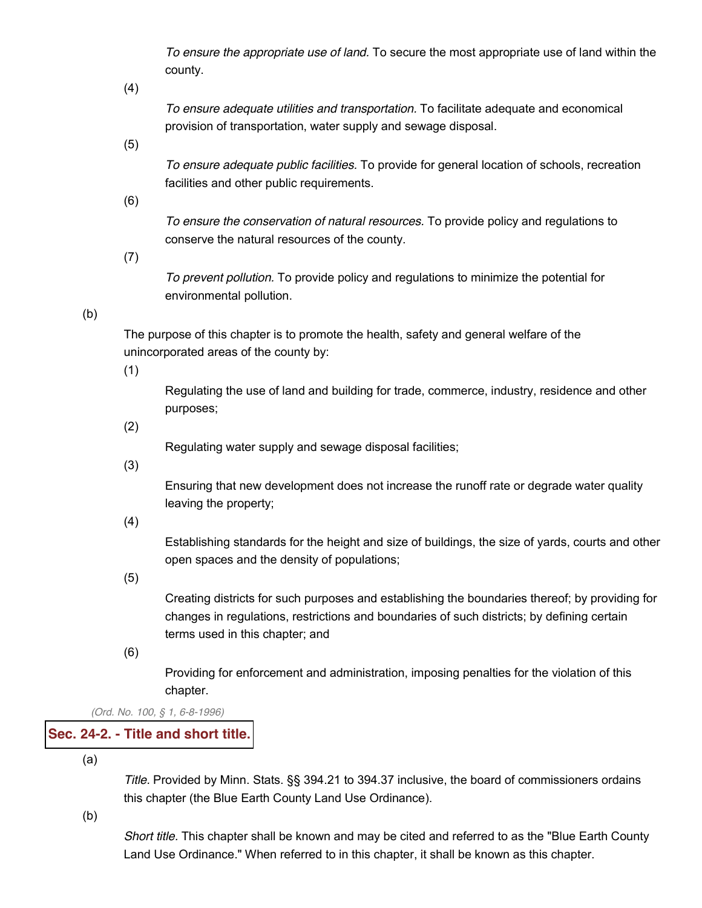*To ensure the appropriate use of land.* To secure the most appropriate use of land within the county.

(4)

*To ensure adequate utilities and transportation.* To facilitate adequate and economical provision of transportation, water supply and sewage disposal.

(5)

*To ensure adequate public facilities.* To provide for general location of schools, recreation facilities and other public requirements.

(6)

*To ensure the conservation of natural resources.* To provide policy and regulations to conserve the natural resources of the county.

(7)

*To prevent pollution.* To provide policy and regulations to minimize the potential for environmental pollution.

# (b)

The purpose of this chapter is to promote the health, safety and general welfare of the unincorporated areas of the county by:

(1)

Regulating the use of land and building for trade, commerce, industry, residence and other purposes;

(2)

Regulating water supply and sewage disposal facilities;

(3)

Ensuring that new development does not increase the runoff rate or degrade water quality leaving the property;

(4)

Establishing standards for the height and size of buildings, the size of yards, courts and other open spaces and the density of populations;

(5)

Creating districts for such purposes and establishing the boundaries thereof; by providing for changes in regulations, restrictions and boundaries of such districts; by defining certain terms used in this chapter; and

(6)

Providing for enforcement and administration, imposing penalties for the violation of this chapter.

*(Ord. No. 100, § 1, 6-8-1996)*

# **Sec. 24-2. - Title and [short](javascript:void(0)) title.**

(a)

*Title.* Provided by Minn. Stats. §§ 394.21 to 394.37 inclusive, the board of commissioners ordains this chapter (the Blue Earth County Land Use Ordinance).

(b)

*Short title.* This chapter shall be known and may be cited and referred to as the "Blue Earth County Land Use Ordinance." When referred to in this chapter, it shall be known as this chapter.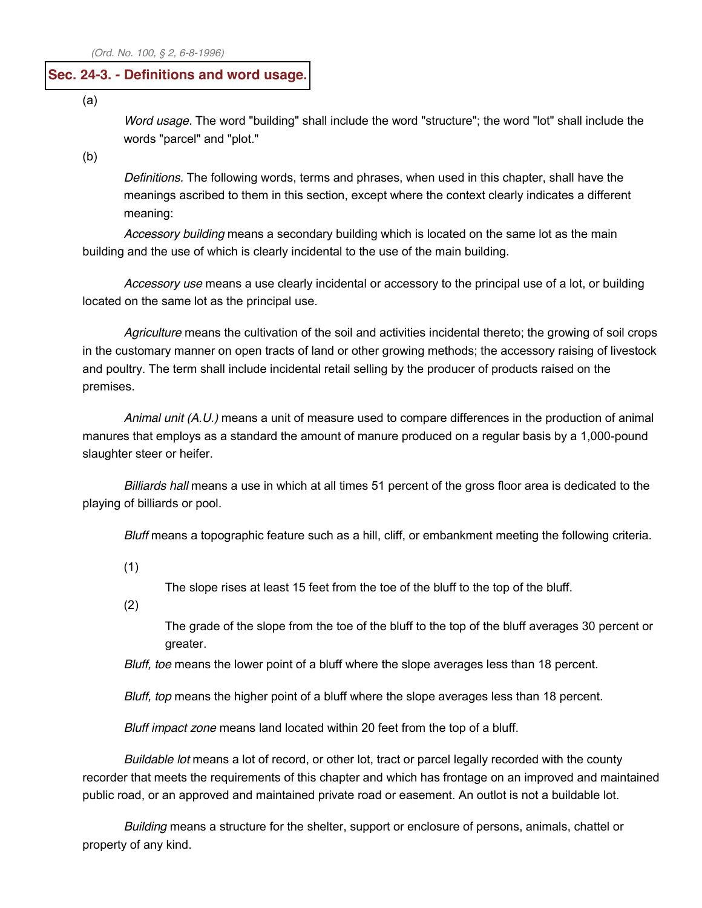### **Sec. 24-3. - [Definitions](javascript:void(0)) and word usage.**

(a)

*Word usage.* The word "building" shall include the word "structure"; the word "lot" shall include the words "parcel" and "plot."

(b)

*Definitions.* The following words, terms and phrases, when used in this chapter, shall have the meanings ascribed to them in this section, except where the context clearly indicates a different meaning:

*Accessory building* means a secondary building which is located on the same lot as the main building and the use of which is clearly incidental to the use of the main building.

*Accessory use* means a use clearly incidental or accessory to the principal use of a lot, or building located on the same lot as the principal use.

*Agriculture* means the cultivation of the soil and activities incidental thereto; the growing of soil crops in the customary manner on open tracts of land or other growing methods; the accessory raising of livestock and poultry. The term shall include incidental retail selling by the producer of products raised on the premises.

*Animal unit (A.U.)* means a unit of measure used to compare differences in the production of animal manures that employs as a standard the amount of manure produced on a regular basis by a 1,000-pound slaughter steer or heifer.

*Billiards hall* means a use in which at all times 51 percent of the gross floor area is dedicated to the playing of billiards or pool.

*Bluff* means a topographic feature such as a hill, cliff, or embankment meeting the following criteria.

(1)

The slope rises at least 15 feet from the toe of the bluff to the top of the bluff.

(2)

The grade of the slope from the toe of the bluff to the top of the bluff averages 30 percent or greater.

*Bluff, toe* means the lower point of a bluff where the slope averages less than 18 percent.

*Bluff, top* means the higher point of a bluff where the slope averages less than 18 percent.

*Bluff impact zone* means land located within 20 feet from the top of a bluff.

*Buildable lot* means a lot of record, or other lot, tract or parcel legally recorded with the county recorder that meets the requirements of this chapter and which has frontage on an improved and maintained public road, or an approved and maintained private road or easement. An outlot is not a buildable lot.

*Building* means a structure for the shelter, support or enclosure of persons, animals, chattel or property of any kind.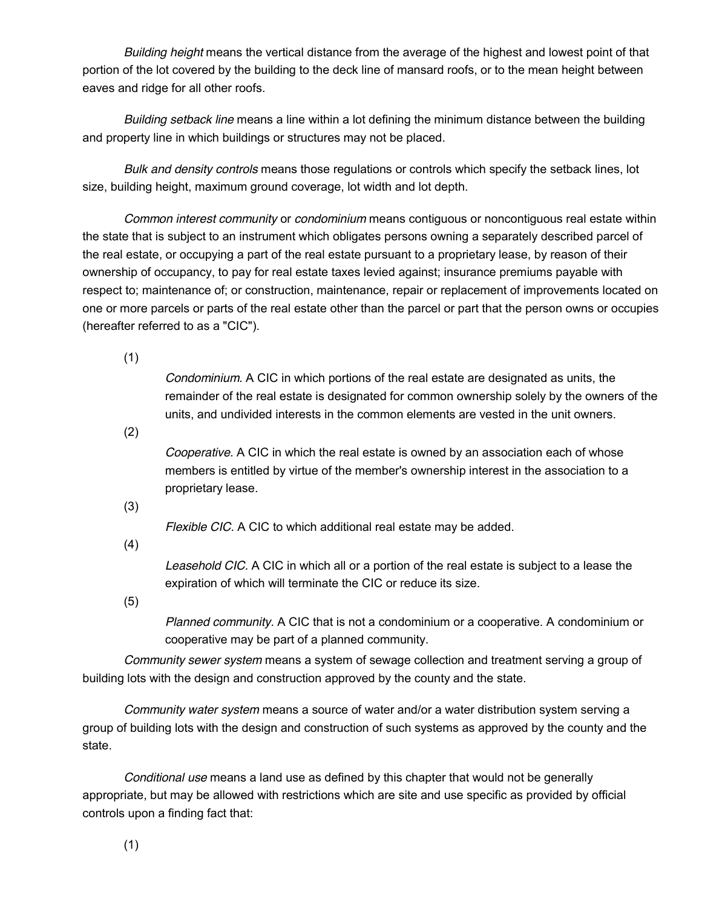*Building height* means the vertical distance from the average of the highest and lowest point of that portion of the lot covered by the building to the deck line of mansard roofs, or to the mean height between eaves and ridge for all other roofs.

*Building setback line* means a line within a lot defining the minimum distance between the building and property line in which buildings or structures may not be placed.

*Bulk and density controls* means those regulations or controls which specify the setback lines, lot size, building height, maximum ground coverage, lot width and lot depth.

*Common interest community* or *condominium* means contiguous or noncontiguous real estate within the state that is subject to an instrument which obligates persons owning a separately described parcel of the real estate, or occupying a part of the real estate pursuant to a proprietary lease, by reason of their ownership of occupancy, to pay for real estate taxes levied against; insurance premiums payable with respect to; maintenance of; or construction, maintenance, repair or replacement of improvements located on one or more parcels or parts of the real estate other than the parcel or part that the person owns or occupies (hereafter referred to as a "CIC").

(1)

*Condominium.* A CIC in which portions of the real estate are designated as units, the remainder of the real estate is designated for common ownership solely by the owners of the units, and undivided interests in the common elements are vested in the unit owners.

(2)

*Cooperative.* A CIC in which the real estate is owned by an association each of whose members is entitled by virtue of the member's ownership interest in the association to a proprietary lease.

(3)

*Flexible CIC.* A CIC to which additional real estate may be added.

(4)

*Leasehold CIC.* A CIC in which all or a portion of the real estate is subject to a lease the expiration of which will terminate the CIC or reduce its size.

(5)

*Planned community.* A CIC that is not a condominium or a cooperative. A condominium or cooperative may be part of a planned community.

*Community sewer system* means a system of sewage collection and treatment serving a group of building lots with the design and construction approved by the county and the state.

*Community water system* means a source of water and/or a water distribution system serving a group of building lots with the design and construction of such systems as approved by the county and the state.

*Conditional use* means a land use as defined by this chapter that would not be generally appropriate, but may be allowed with restrictions which are site and use specific as provided by official controls upon a finding fact that:

(1)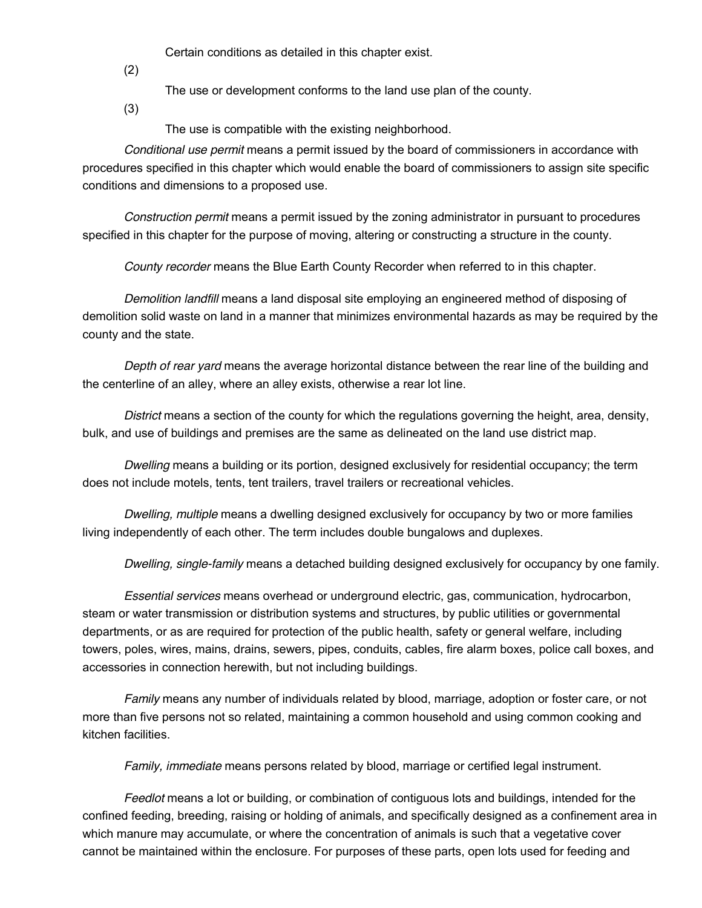Certain conditions as detailed in this chapter exist.

(2)

The use or development conforms to the land use plan of the county.

(3)

The use is compatible with the existing neighborhood.

*Conditional use permit* means a permit issued by the board of commissioners in accordance with procedures specified in this chapter which would enable the board of commissioners to assign site specific conditions and dimensions to a proposed use.

*Construction permit* means a permit issued by the zoning administrator in pursuant to procedures specified in this chapter for the purpose of moving, altering or constructing a structure in the county.

*County recorder* means the Blue Earth County Recorder when referred to in this chapter.

*Demolition landfill* means a land disposal site employing an engineered method of disposing of demolition solid waste on land in a manner that minimizes environmental hazards as may be required by the county and the state.

*Depth of rear yard* means the average horizontal distance between the rear line of the building and the centerline of an alley, where an alley exists, otherwise a rear lot line.

*District* means a section of the county for which the regulations governing the height, area, density, bulk, and use of buildings and premises are the same as delineated on the land use district map.

*Dwelling* means a building or its portion, designed exclusively for residential occupancy; the term does not include motels, tents, tent trailers, travel trailers or recreational vehicles.

*Dwelling, multiple* means a dwelling designed exclusively for occupancy by two or more families living independently of each other. The term includes double bungalows and duplexes.

*Dwelling, single-family* means a detached building designed exclusively for occupancy by one family.

*Essential services* means overhead or underground electric, gas, communication, hydrocarbon, steam or water transmission or distribution systems and structures, by public utilities or governmental departments, or as are required for protection of the public health, safety or general welfare, including towers, poles, wires, mains, drains, sewers, pipes, conduits, cables, fire alarm boxes, police call boxes, and accessories in connection herewith, but not including buildings.

*Family* means any number of individuals related by blood, marriage, adoption or foster care, or not more than five persons not so related, maintaining a common household and using common cooking and kitchen facilities.

*Family, immediate* means persons related by blood, marriage or certified legal instrument.

*Feedlot* means a lot or building, or combination of contiguous lots and buildings, intended for the confined feeding, breeding, raising or holding of animals, and specifically designed as a confinement area in which manure may accumulate, or where the concentration of animals is such that a vegetative cover cannot be maintained within the enclosure. For purposes of these parts, open lots used for feeding and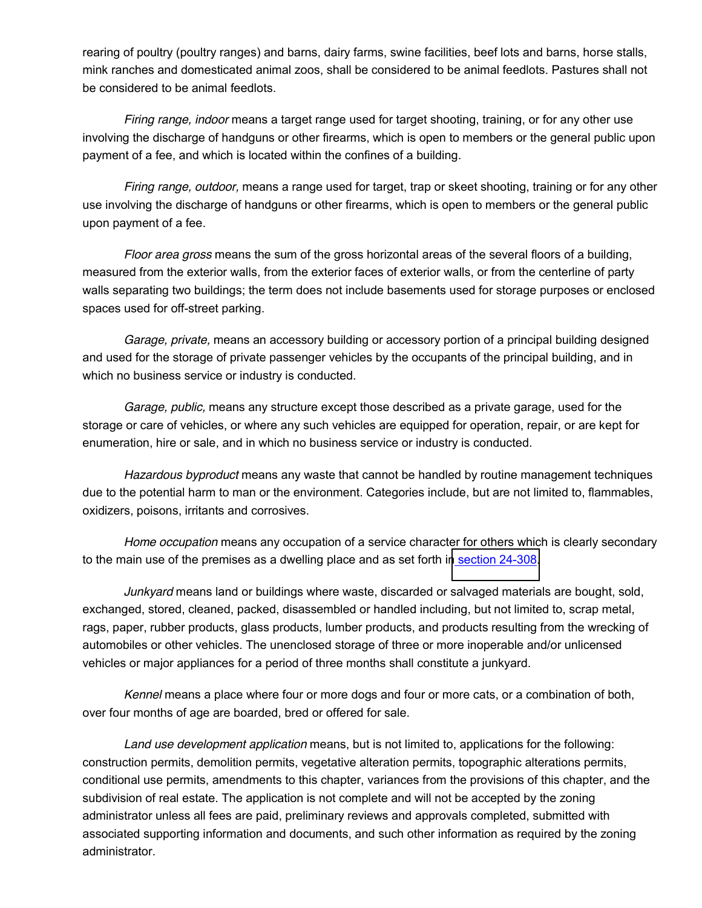rearing of poultry (poultry ranges) and barns, dairy farms, swine facilities, beef lots and barns, horse stalls, mink ranches and domesticated animal zoos, shall be considered to be animal feedlots. Pastures shall not be considered to be animal feedlots.

*Firing range, indoor* means a target range used for target shooting, training, or for any other use involving the discharge of handguns or other firearms, which is open to members or the general public upon payment of a fee, and which is located within the confines of a building.

*Firing range, outdoor,* means a range used for target, trap or skeet shooting, training or for any other use involving the discharge of handguns or other firearms, which is open to members or the general public upon payment of a fee.

*Floor area gross* means the sum of the gross horizontal areas of the several floors of a building, measured from the exterior walls, from the exterior faces of exterior walls, or from the centerline of party walls separating two buildings; the term does not include basements used for storage purposes or enclosed spaces used for off-street parking.

*Garage, private,* means an accessory building or accessory portion of a principal building designed and used for the storage of private passenger vehicles by the occupants of the principal building, and in which no business service or industry is conducted.

*Garage, public,* means any structure except those described as a private garage, used for the storage or care of vehicles, or where any such vehicles are equipped for operation, repair, or are kept for enumeration, hire or sale, and in which no business service or industry is conducted.

*Hazardous byproduct* means any waste that cannot be handled by routine management techniques due to the potential harm to man or the environment. Categories include, but are not limited to, flammables, oxidizers, poisons, irritants and corrosives.

*Home occupation* means any occupation of a service character for others which is clearly secondary to the main use of the premises as a dwelling place and as set forth in section [24-308.](http://library.municode.com/HTML/13415/level3/CD_ORD_CH24ZO_ARTIVREST.html#CD_ORD_CH24ZO_ARTIVREST_S24-308HOOC)

*Junkyard* means land or buildings where waste, discarded or salvaged materials are bought, sold, exchanged, stored, cleaned, packed, disassembled or handled including, but not limited to, scrap metal, rags, paper, rubber products, glass products, lumber products, and products resulting from the wrecking of automobiles or other vehicles. The unenclosed storage of three or more inoperable and/or unlicensed vehicles or major appliances for a period of three months shall constitute a junkyard.

*Kennel* means a place where four or more dogs and four or more cats, or a combination of both, over four months of age are boarded, bred or offered for sale.

*Land use development application* means, but is not limited to, applications for the following: construction permits, demolition permits, vegetative alteration permits, topographic alterations permits, conditional use permits, amendments to this chapter, variances from the provisions of this chapter, and the subdivision of real estate. The application is not complete and will not be accepted by the zoning administrator unless all fees are paid, preliminary reviews and approvals completed, submitted with associated supporting information and documents, and such other information as required by the zoning administrator.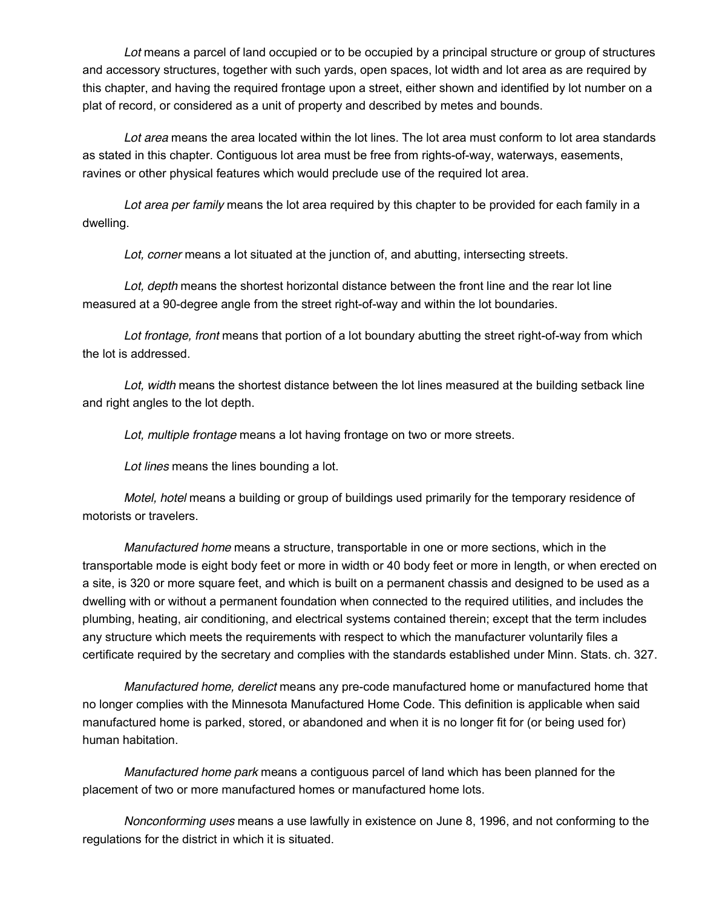*Lot* means a parcel of land occupied or to be occupied by a principal structure or group of structures and accessory structures, together with such yards, open spaces, lot width and lot area as are required by this chapter, and having the required frontage upon a street, either shown and identified by lot number on a plat of record, or considered as a unit of property and described by metes and bounds.

*Lot area* means the area located within the lot lines. The lot area must conform to lot area standards as stated in this chapter. Contiguous lot area must be free from rights-of-way, waterways, easements, ravines or other physical features which would preclude use of the required lot area.

*Lot area per family* means the lot area required by this chapter to be provided for each family in a dwelling.

*Lot, corner* means a lot situated at the junction of, and abutting, intersecting streets.

*Lot, depth* means the shortest horizontal distance between the front line and the rear lot line measured at a 90-degree angle from the street right-of-way and within the lot boundaries.

*Lot frontage, front* means that portion of a lot boundary abutting the street right-of-way from which the lot is addressed.

*Lot, width* means the shortest distance between the lot lines measured at the building setback line and right angles to the lot depth.

*Lot, multiple frontage* means a lot having frontage on two or more streets.

*Lot lines* means the lines bounding a lot.

*Motel, hotel* means a building or group of buildings used primarily for the temporary residence of motorists or travelers.

*Manufactured home* means a structure, transportable in one or more sections, which in the transportable mode is eight body feet or more in width or 40 body feet or more in length, or when erected on a site, is 320 or more square feet, and which is built on a permanent chassis and designed to be used as a dwelling with or without a permanent foundation when connected to the required utilities, and includes the plumbing, heating, air conditioning, and electrical systems contained therein; except that the term includes any structure which meets the requirements with respect to which the manufacturer voluntarily files a certificate required by the secretary and complies with the standards established under Minn. Stats. ch. 327.

*Manufactured home, derelict* means any pre-code manufactured home or manufactured home that no longer complies with the Minnesota Manufactured Home Code. This definition is applicable when said manufactured home is parked, stored, or abandoned and when it is no longer fit for (or being used for) human habitation.

*Manufactured home park* means a contiguous parcel of land which has been planned for the placement of two or more manufactured homes or manufactured home lots.

*Nonconforming uses* means a use lawfully in existence on June 8, 1996, and not conforming to the regulations for the district in which it is situated.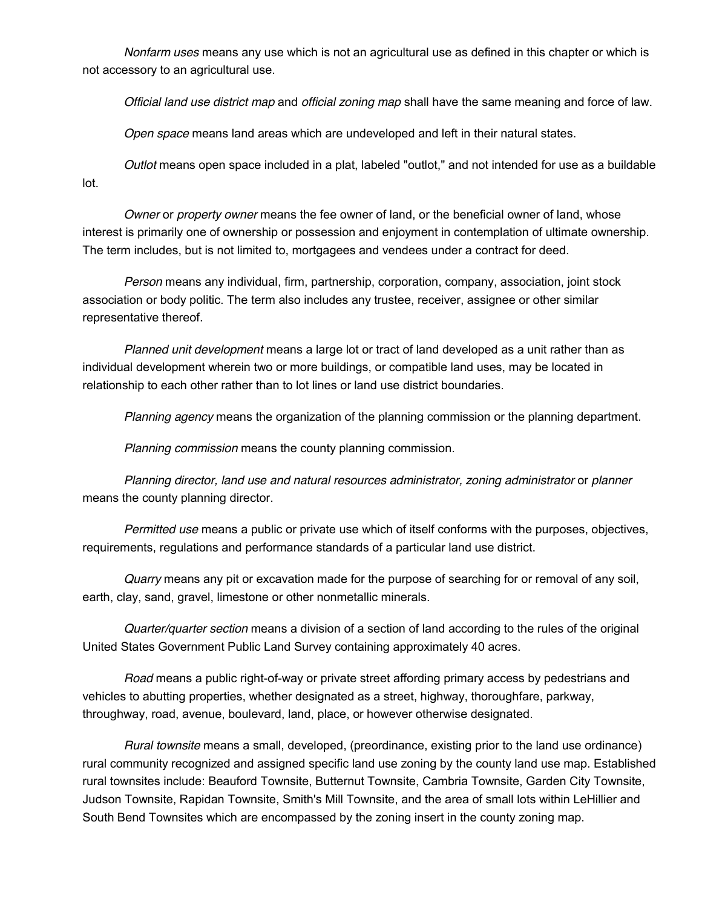*Nonfarm uses* means any use which is not an agricultural use as defined in this chapter or which is not accessory to an agricultural use.

*Official land use district map* and *official zoning map* shall have the same meaning and force of law.

*Open space* means land areas which are undeveloped and left in their natural states.

*Outlot* means open space included in a plat, labeled "outlot," and not intended for use as a buildable lot.

*Owner* or *property owner* means the fee owner of land, or the beneficial owner of land, whose interest is primarily one of ownership or possession and enjoyment in contemplation of ultimate ownership. The term includes, but is not limited to, mortgagees and vendees under a contract for deed.

*Person* means any individual, firm, partnership, corporation, company, association, joint stock association or body politic. The term also includes any trustee, receiver, assignee or other similar representative thereof.

*Planned unit development* means a large lot or tract of land developed as a unit rather than as individual development wherein two or more buildings, or compatible land uses, may be located in relationship to each other rather than to lot lines or land use district boundaries.

*Planning agency* means the organization of the planning commission or the planning department.

*Planning commission* means the county planning commission.

*Planning director, land use and natural resources administrator, zoning administrator* or *planner* means the county planning director.

*Permitted use* means a public or private use which of itself conforms with the purposes, objectives, requirements, regulations and performance standards of a particular land use district.

*Quarry* means any pit or excavation made for the purpose of searching for or removal of any soil, earth, clay, sand, gravel, limestone or other nonmetallic minerals.

*Quarter/quarter section* means a division of a section of land according to the rules of the original United States Government Public Land Survey containing approximately 40 acres.

*Road* means a public right-of-way or private street affording primary access by pedestrians and vehicles to abutting properties, whether designated as a street, highway, thoroughfare, parkway, throughway, road, avenue, boulevard, land, place, or however otherwise designated.

*Rural townsite* means a small, developed, (preordinance, existing prior to the land use ordinance) rural community recognized and assigned specific land use zoning by the county land use map. Established rural townsites include: Beauford Townsite, Butternut Townsite, Cambria Townsite, Garden City Townsite, Judson Townsite, Rapidan Townsite, Smith's Mill Townsite, and the area of small lots within LeHillier and South Bend Townsites which are encompassed by the zoning insert in the county zoning map.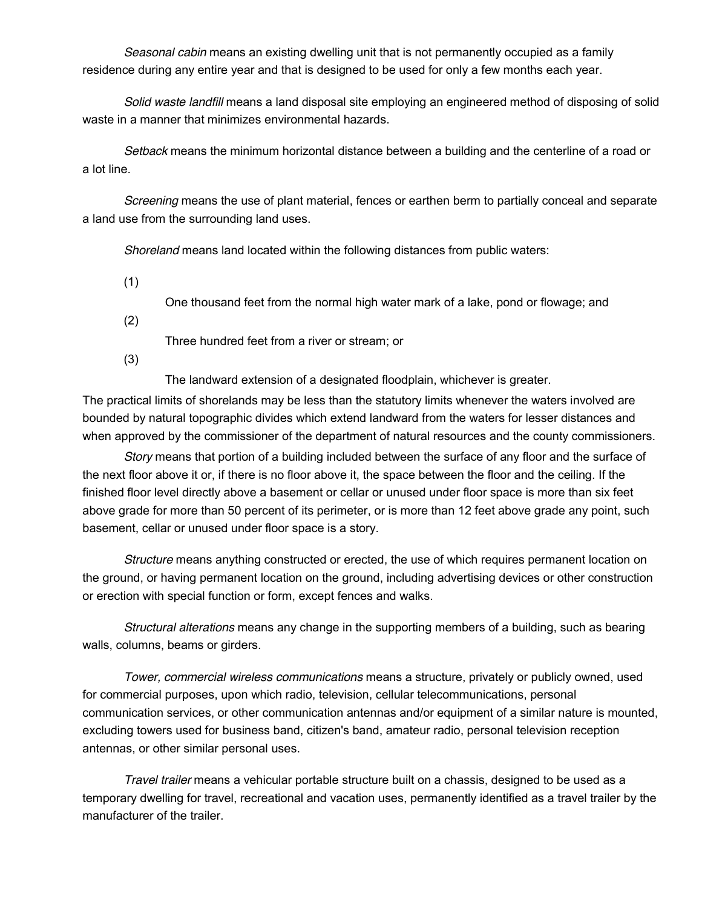*Seasonal cabin* means an existing dwelling unit that is not permanently occupied as a family residence during any entire year and that is designed to be used for only a few months each year.

*Solid waste landfill* means a land disposal site employing an engineered method of disposing of solid waste in a manner that minimizes environmental hazards.

*Setback* means the minimum horizontal distance between a building and the centerline of a road or a lot line.

*Screening* means the use of plant material, fences or earthen berm to partially conceal and separate a land use from the surrounding land uses.

*Shoreland* means land located within the following distances from public waters:

(1)

One thousand feet from the normal high water mark of a lake, pond or flowage; and

(2)

Three hundred feet from a river or stream; or

(3)

The landward extension of a designated floodplain, whichever is greater.

The practical limits of shorelands may be less than the statutory limits whenever the waters involved are bounded by natural topographic divides which extend landward from the waters for lesser distances and when approved by the commissioner of the department of natural resources and the county commissioners.

*Story* means that portion of a building included between the surface of any floor and the surface of the next floor above it or, if there is no floor above it, the space between the floor and the ceiling. If the finished floor level directly above a basement or cellar or unused under floor space is more than six feet above grade for more than 50 percent of its perimeter, or is more than 12 feet above grade any point, such basement, cellar or unused under floor space is a story.

*Structure* means anything constructed or erected, the use of which requires permanent location on the ground, or having permanent location on the ground, including advertising devices or other construction or erection with special function or form, except fences and walks.

*Structural alterations* means any change in the supporting members of a building, such as bearing walls, columns, beams or girders.

*Tower, commercial wireless communications* means a structure, privately or publicly owned, used for commercial purposes, upon which radio, television, cellular telecommunications, personal communication services, or other communication antennas and/or equipment of a similar nature is mounted, excluding towers used for business band, citizen's band, amateur radio, personal television reception antennas, or other similar personal uses.

*Travel trailer* means a vehicular portable structure built on a chassis, designed to be used as a temporary dwelling for travel, recreational and vacation uses, permanently identified as a travel trailer by the manufacturer of the trailer.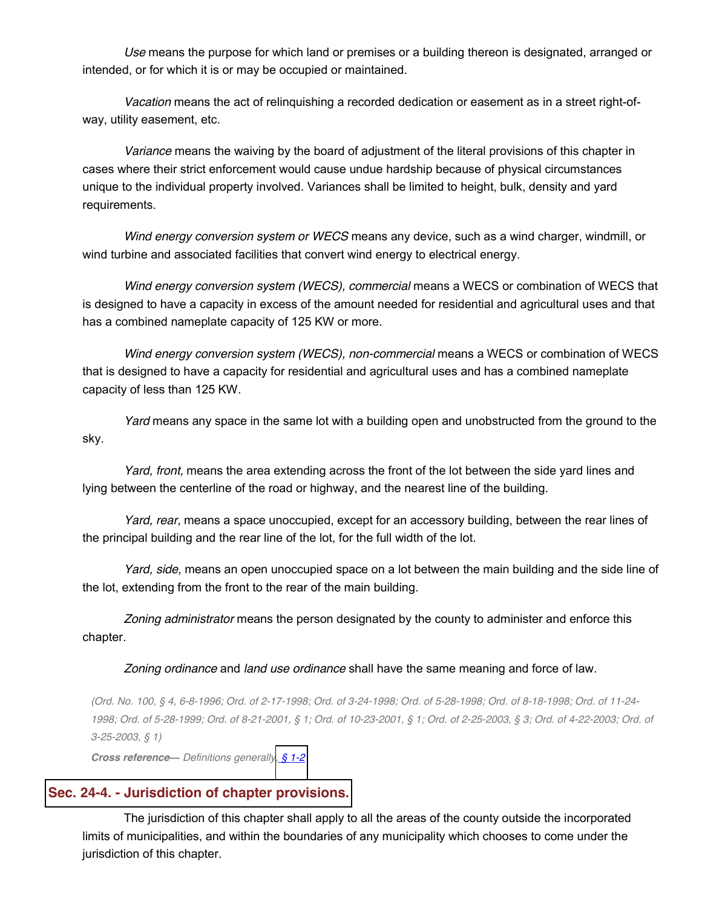*Use* means the purpose for which land or premises or a building thereon is designated, arranged or intended, or for which it is or may be occupied or maintained.

*Vacation* means the act of relinquishing a recorded dedication or easement as in a street right-ofway, utility easement, etc.

*Variance* means the waiving by the board of adjustment of the literal provisions of this chapter in cases where their strict enforcement would cause undue hardship because of physical circumstances unique to the individual property involved. Variances shall be limited to height, bulk, density and yard requirements.

*Wind energy conversion system or WECS* means any device, such as a wind charger, windmill, or wind turbine and associated facilities that convert wind energy to electrical energy.

*Wind energy conversion system (WECS), commercial* means a WECS or combination of WECS that is designed to have a capacity in excess of the amount needed for residential and agricultural uses and that has a combined nameplate capacity of 125 KW or more.

*Wind energy conversion system (WECS), non-commercial* means a WECS or combination of WECS that is designed to have a capacity for residential and agricultural uses and has a combined nameplate capacity of less than 125 KW.

*Yard* means any space in the same lot with a building open and unobstructed from the ground to the sky.

*Yard, front,* means the area extending across the front of the lot between the side yard lines and lying between the centerline of the road or highway, and the nearest line of the building.

*Yard, rear,* means a space unoccupied, except for an accessory building, between the rear lines of the principal building and the rear line of the lot, for the full width of the lot.

*Yard, side,* means an open unoccupied space on a lot between the main building and the side line of the lot, extending from the front to the rear of the main building.

*Zoning administrator* means the person designated by the county to administer and enforce this chapter.

#### *Zoning ordinance* and *land use ordinance* shall have the same meaning and force of law.

(Ord. No. 100, § 4, 6-8-1996; Ord. of 2-17-1998; Ord. of 3-24-1998; Ord. of 5-28-1998; Ord. of 8-18-1998; Ord. of 11-24-1998; Ord. of 5-28-1999; Ord. of 8-21-2001, § 1; Ord. of 10-23-2001, § 1; Ord. of 2-25-2003, § 3; Ord. of 4-22-2003; Ord. of *3-25-2003, § 1)*

*Cross reference² Definitions generally, § [1-2](http://library.municode.com/HTML/13415/level2/CD_ORD_CH1GEPR.html#CD_ORD_CH1GEPR_S1-2DERUCO)*

### **Sec. 24-4. - [Jurisdiction](javascript:void(0)) of chapter provisions.**

The jurisdiction of this chapter shall apply to all the areas of the county outside the incorporated limits of municipalities, and within the boundaries of any municipality which chooses to come under the jurisdiction of this chapter.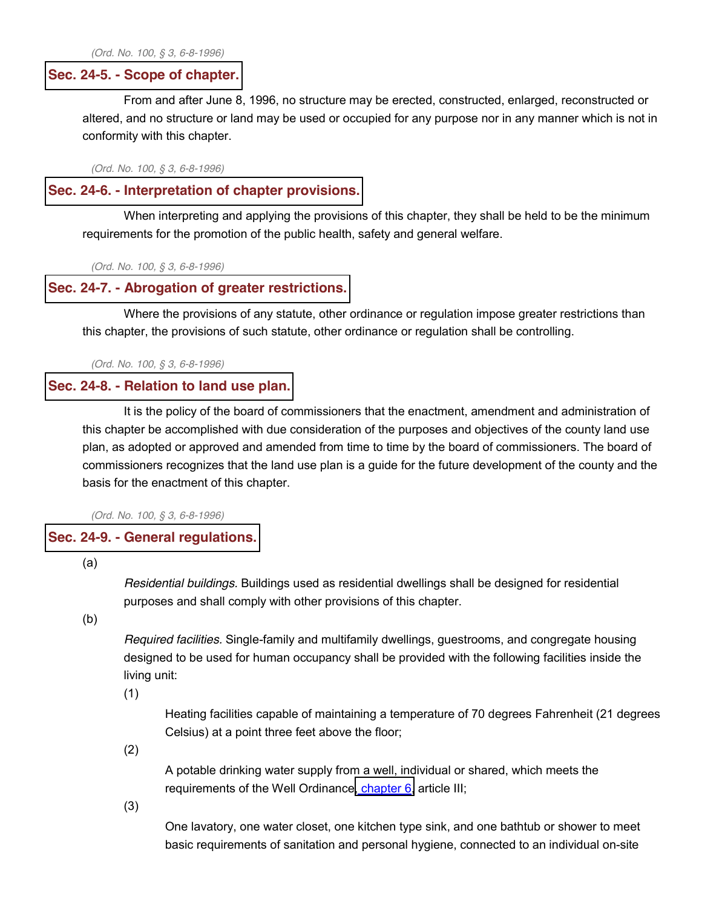*(Ord. No. 100, § 3, 6-8-1996)*

#### **Sec. 24-5. - Scope of [chapter.](javascript:void(0))**

From and after June 8, 1996, no structure may be erected, constructed, enlarged, reconstructed or altered, and no structure or land may be used or occupied for any purpose nor in any manner which is not in conformity with this chapter.

*(Ord. No. 100, § 3, 6-8-1996)*

#### **Sec. 24-6. - [Interpretation](javascript:void(0)) of chapter provisions.**

When interpreting and applying the provisions of this chapter, they shall be held to be the minimum requirements for the promotion of the public health, safety and general welfare.

*(Ord. No. 100, § 3, 6-8-1996)*

#### **Sec. 24-7. - Abrogation of greater [restrictions.](javascript:void(0))**

Where the provisions of any statute, other ordinance or regulation impose greater restrictions than this chapter, the provisions of such statute, other ordinance or regulation shall be controlling.

*(Ord. No. 100, § 3, 6-8-1996)*

#### **Sec. 24-8. - [Relation](javascript:void(0)) to land use plan.**

It is the policy of the board of commissioners that the enactment, amendment and administration of this chapter be accomplished with due consideration of the purposes and objectives of the county land use plan, as adopted or approved and amended from time to time by the board of commissioners. The board of commissioners recognizes that the land use plan is a guide for the future development of the county and the basis for the enactment of this chapter.

*(Ord. No. 100, § 3, 6-8-1996)*

#### **Sec. 24-9. - General [regulations.](javascript:void(0))**

(a)

*Residential buildings.* Buildings used as residential dwellings shall be designed for residential purposes and shall comply with other provisions of this chapter.

(b)

*Required facilities.* Single-family and multifamily dwellings, guestrooms, and congregate housing designed to be used for human occupancy shall be provided with the following facilities inside the living unit:

(1)

Heating facilities capable of maintaining a temperature of 70 degrees Fahrenheit (21 degrees Celsius) at a point three feet above the floor;

(2)

A potable drinking water supply from a well, individual or shared, which meets the requirements of the Well Ordinance, [chapter](http://library.municode.com/HTML/13415/level2/CD_ORD_CH6EN.html#CD_ORD_CH6EN) 6, article III;

(3)

One lavatory, one water closet, one kitchen type sink, and one bathtub or shower to meet basic requirements of sanitation and personal hygiene, connected to an individual on-site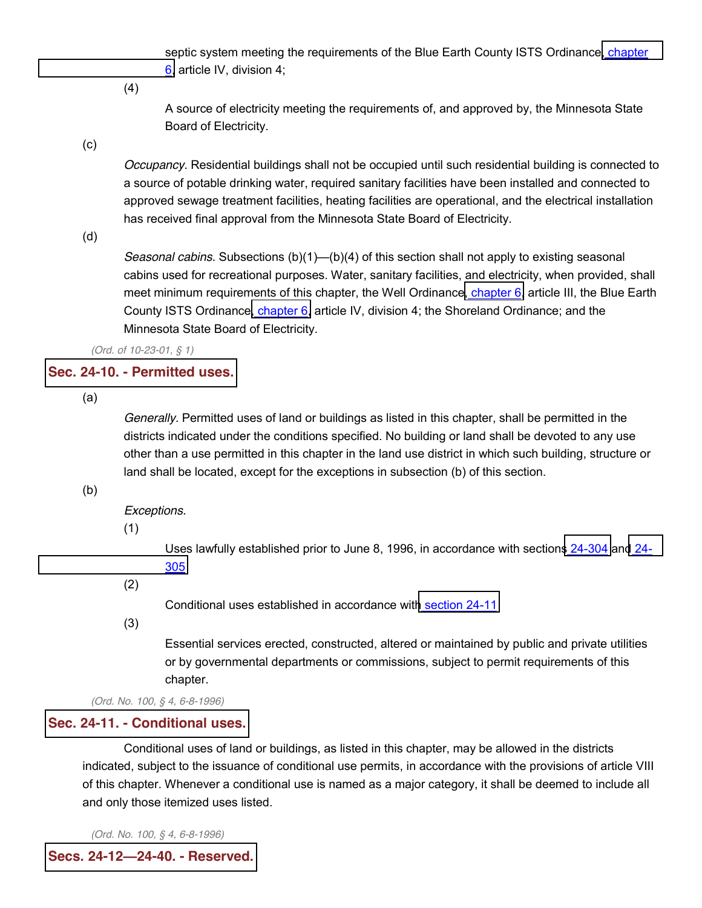septic system meeting the requirements of the Blue Earth County ISTS Ordinance, [chapter](http://library.municode.com/HTML/13415/level2/CD_ORD_CH6EN.html#CD_ORD_CH6EN) [6,](http://library.municode.com/HTML/13415/level2/CD_ORD_CH6EN.html#CD_ORD_CH6EN) article IV, division 4;

(4)

A source of electricity meeting the requirements of, and approved by, the Minnesota State Board of Electricity.

(c)

*Occupancy.* Residential buildings shall not be occupied until such residential building is connected to a source of potable drinking water, required sanitary facilities have been installed and connected to approved sewage treatment facilities, heating facilities are operational, and the electrical installation has received final approval from the Minnesota State Board of Electricity.

(d)

*Seasonal cabins.* Subsections (b)(1)—(b)(4) of this section shall not apply to existing seasonal cabins used for recreational purposes. Water, sanitary facilities, and electricity, when provided, shall meet minimum requirements of this [chapter](http://library.municode.com/HTML/13415/level2/CD_ORD_CH6EN.html#CD_ORD_CH6EN), the Well Ordinance, chapter 6, article III, the Blue Earth County ISTS Ordinance, [chapter](http://library.municode.com/HTML/13415/level2/CD_ORD_CH6EN.html#CD_ORD_CH6EN) 6, article IV, division 4; the Shoreland Ordinance; and the Minnesota State Board of Electricity.

*(Ord. of 10-23-01, § 1)*

# **Sec. 24-10. - [Permitted](javascript:void(0)) uses.**

(a)

*Generally.* Permitted uses of land or buildings as listed in this chapter, shall be permitted in the districts indicated under the conditions specified. No building or land shall be devoted to any use other than a use permitted in this chapter in the land use district in which such building, structure or land shall be located, except for the exceptions in subsection (b) of this section.

(b)

*Exceptions.*

(1)

Uses lawfully established prior to June 8, 1996, in accordance with sections [24-304](http://library.municode.com/HTML/13415/level3/CD_ORD_CH24ZO_ARTIVREST.html#CD_ORD_CH24ZO_ARTIVREST_S24-304LORE) and [24-](http://library.municode.com/HTML/13415/level3/CD_ORD_CH24ZO_ARTIVREST.html#CD_ORD_CH24ZO_ARTIVREST_S24-305NO) [305](http://library.municode.com/HTML/13415/level3/CD_ORD_CH24ZO_ARTIVREST.html#CD_ORD_CH24ZO_ARTIVREST_S24-305NO)

(2)

Conditional uses established in accordance with [section](http://library.municode.com/HTML/13415/level3/CD_ORD_CH24ZO_ARTIINGE.html#CD_ORD_CH24ZO_ARTIINGE_S24-11COUS) 24-11

(3)

Essential services erected, constructed, altered or maintained by public and private utilities or by governmental departments or commissions, subject to permit requirements of this chapter.

*(Ord. No. 100, § 4, 6-8-1996)*

### **Sec. 24-11. - [Conditional](javascript:void(0)) uses.**

Conditional uses of land or buildings, as listed in this chapter, may be allowed in the districts indicated, subject to the issuance of conditional use permits, in accordance with the provisions of article VIII of this chapter. Whenever a conditional use is named as a major category, it shall be deemed to include all and only those itemized uses listed.

*(Ord. No. 100, § 4, 6-8-1996)*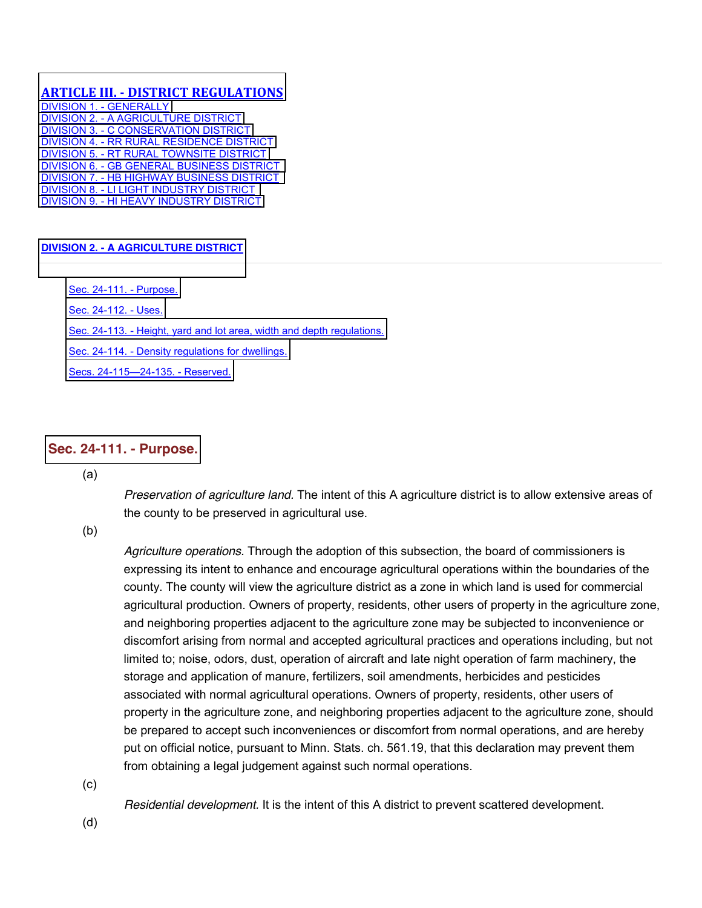### **ARTICLE III. - DISTRICT REGULATIONS**

[DIVISION 1. -](http://library.municode.com/HTML/13415/level4/CD_ORD_CH24ZO_ARTIIIDIRE_DIV1GE.html) GENERALLY DIVISION 2. - [A AGRICULTURE DISTRICT](http://library.municode.com/HTML/13415/level4/CD_ORD_CH24ZO_ARTIIIDIRE_DIV2AAGDI.html) DIVISION 3. - [C CONSERVATION DISTRICT](http://library.municode.com/HTML/13415/level4/CD_ORD_CH24ZO_ARTIIIDIRE_DIV3CCODI.html) DIVISION 4. - [RR RURAL RESIDENCE DISTRICT](http://library.municode.com/HTML/13415/level4/CD_ORD_CH24ZO_ARTIIIDIRE_DIV4RRRUREDI.html) DIVISION 5. - [RT RURAL TOWNSITE DISTRICT](http://library.municode.com/HTML/13415/level4/CD_ORD_CH24ZO_ARTIIIDIRE_DIV5RTRUTODI.html) DIVISION 6. - [GB GENERAL BUSINESS DISTRICT](http://library.municode.com/HTML/13415/level4/CD_ORD_CH24ZO_ARTIIIDIRE_DIV6GBGEBUDI.html)  DIVISION 7. - [HB HIGHWAY BUSINESS DISTRICT](http://library.municode.com/HTML/13415/level4/CD_ORD_CH24ZO_ARTIIIDIRE_DIV7HBHIBUDI.html)  DIVISION 8. - [LI LIGHT INDUSTRY DISTRICT](http://library.municode.com/HTML/13415/level4/CD_ORD_CH24ZO_ARTIIIDIRE_DIV8LILIINDI.html)  DIVISION 9. - [HI HEAVY INDUSTRY DISTRICT](http://library.municode.com/HTML/13415/level4/CD_ORD_CH24ZO_ARTIIIDIRE_DIV9HIHEINDI.html)

#### **DIVISION 2. - [A AGRICULTURE DISTRICT](javascript:void(0))**

[Sec. 24-111. -](http://library.municode.com/HTML/13415/level4/CD_ORD_CH24ZO_ARTIIIDIRE_DIV2AAGDI.html#CD_ORD_CH24ZO_ARTIIIDIRE_DIV2AAGDI_S24-111PU) Purpose. [Sec. 24-112. -](http://library.municode.com/HTML/13415/level4/CD_ORD_CH24ZO_ARTIIIDIRE_DIV2AAGDI.html#CD_ORD_CH24ZO_ARTIIIDIRE_DIV2AAGDI_S24-112US) Uses. Sec. 24-113. - [Height, yard and lot area, width and depth regulations.](http://library.municode.com/HTML/13415/level4/CD_ORD_CH24ZO_ARTIIIDIRE_DIV2AAGDI.html#CD_ORD_CH24ZO_ARTIIIDIRE_DIV2AAGDI_S24-113HEYALOARWIDERE) Sec. 24-114. - [Density regulations for dwellings.](http://library.municode.com/HTML/13415/level4/CD_ORD_CH24ZO_ARTIIIDIRE_DIV2AAGDI.html#CD_ORD_CH24ZO_ARTIIIDIRE_DIV2AAGDI_S24-114DEREDW) [Secs. 24-115](http://library.municode.com/HTML/13415/level4/CD_ORD_CH24ZO_ARTIIIDIRE_DIV2AAGDI.html#CD_ORD_CH24ZO_ARTIIIDIRE_DIV2AAGDI_SS24-115--24-135RE)-24-135. - Reserved.

### **Sec. 24-111. - [Purpose.](javascript:void(0))**

(a)

*Preservation of agriculture land.* The intent of this A agriculture district is to allow extensive areas of the county to be preserved in agricultural use.

(b)

*Agriculture operations.* Through the adoption of this subsection, the board of commissioners is expressing its intent to enhance and encourage agricultural operations within the boundaries of the county. The county will view the agriculture district as a zone in which land is used for commercial agricultural production. Owners of property, residents, other users of property in the agriculture zone, and neighboring properties adjacent to the agriculture zone may be subjected to inconvenience or discomfort arising from normal and accepted agricultural practices and operations including, but not limited to; noise, odors, dust, operation of aircraft and late night operation of farm machinery, the storage and application of manure, fertilizers, soil amendments, herbicides and pesticides associated with normal agricultural operations. Owners of property, residents, other users of property in the agriculture zone, and neighboring properties adjacent to the agriculture zone, should be prepared to accept such inconveniences or discomfort from normal operations, and are hereby put on official notice, pursuant to Minn. Stats. ch. 561.19, that this declaration may prevent them from obtaining a legal judgement against such normal operations.

(c)

*Residential development.* It is the intent of this A district to prevent scattered development.

(d)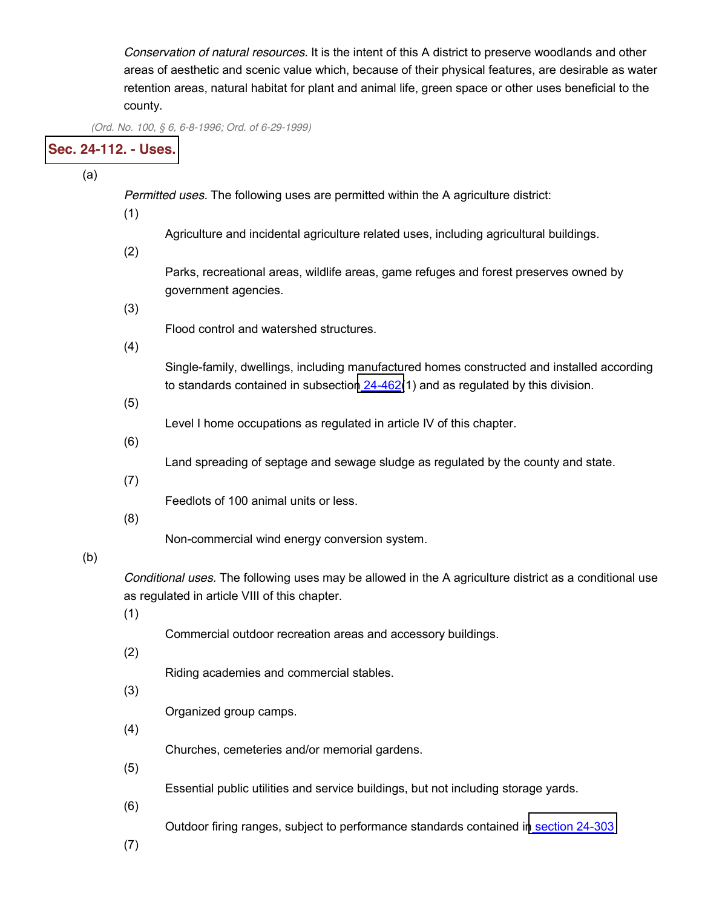*Conservation of natural resources.* It is the intent of this A district to preserve woodlands and other areas of aesthetic and scenic value which, because of their physical features, are desirable as water retention areas, natural habitat for plant and animal life, green space or other uses beneficial to the county.

*(Ord. No. 100, § 6, 6-8-1996; Ord. of 6-29-1999)*

# **Sec. [24-112.](javascript:void(0)) - Uses.**

(a)

*Permitted uses.* The following uses are permitted within the A agriculture district:

(1)

Agriculture and incidental agriculture related uses, including agricultural buildings.

(2)

Parks, recreational areas, wildlife areas, game refuges and forest preserves owned by government agencies.

(3)

Flood control and watershed structures.

(4)

Single-family, dwellings, including manufactured homes constructed and installed according to standards contained in subsection [24-462\(](http://library.municode.com/HTML/13415/level3/CD_ORD_CH24ZO_ARTVIIICOUSPE.html#CD_ORD_CH24ZO_ARTVIIICOUSPE_S24-462MAHORE)1) and as regulated by this division.

(5)

Level I home occupations as regulated in article IV of this chapter.

(6)

Land spreading of septage and sewage sludge as regulated by the county and state.

(7)

Feedlots of 100 animal units or less.

(8)

Non-commercial wind energy conversion system.

### (b)

*Conditional uses.* The following uses may be allowed in the A agriculture district as a conditional use as regulated in article VIII of this chapter.

(1)

Commercial outdoor recreation areas and accessory buildings.

(2)

Riding academies and commercial stables.

(3)

Organized group camps.

(4)

Churches, cemeteries and/or memorial gardens.

(5)

Essential public utilities and service buildings, but not including storage yards.

(6)

Outdoor firing ranges, subject to performance standards contained in [section](http://library.municode.com/HTML/13415/level3/CD_ORD_CH24ZO_ARTIVREST.html#CD_ORD_CH24ZO_ARTIVREST_S24-303PEST) 24-303

(7)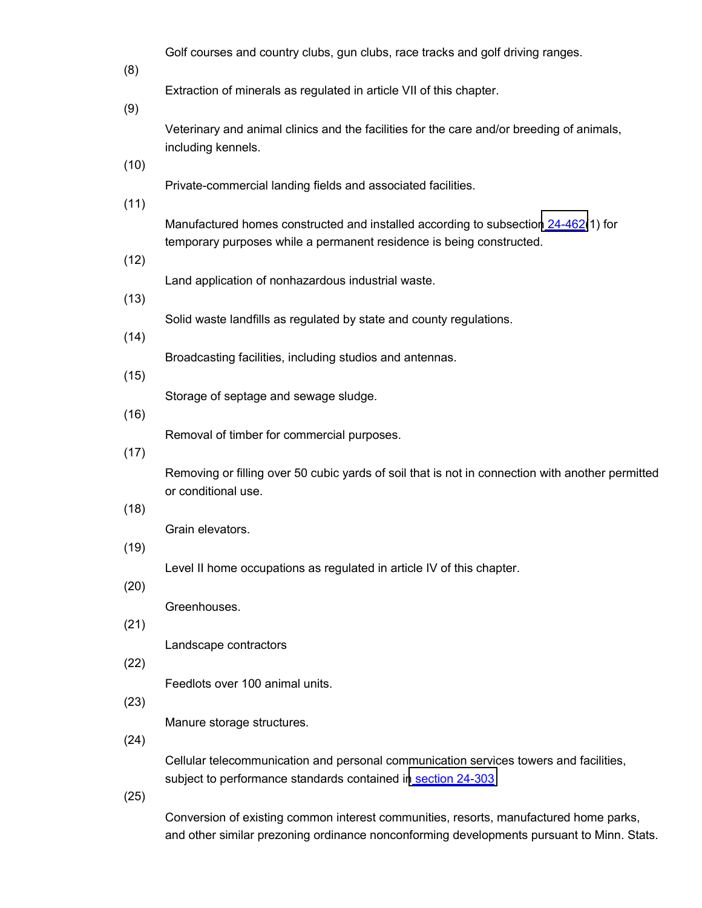Golf courses and country clubs, gun clubs, race tracks and golf driving ranges.

(8)

Extraction of minerals as regulated in article VII of this chapter.

(9)

Veterinary and animal clinics and the facilities for the care and/or breeding of animals, including kennels.

(10)

Private-commercial landing fields and associated facilities.

(11)

Manufactured homes constructed and installed according to subsection [24-462\(](http://library.municode.com/HTML/13415/level3/CD_ORD_CH24ZO_ARTVIIICOUSPE.html#CD_ORD_CH24ZO_ARTVIIICOUSPE_S24-462MAHORE)1) for temporary purposes while a permanent residence is being constructed.

(12)

Land application of nonhazardous industrial waste.

(13)

Solid waste landfills as regulated by state and county regulations.

 $(14)$ 

Broadcasting facilities, including studios and antennas.

(15)

Storage of septage and sewage sludge.

(16)

Removal of timber for commercial purposes.

(17)

Removing or filling over 50 cubic yards of soil that is not in connection with another permitted or conditional use.

(18)

Grain elevators.

(19)

Level II home occupations as regulated in article IV of this chapter.

(20)

Greenhouses.

(21)

Landscape contractors

(22)

Feedlots over 100 animal units.

(23)

Manure storage structures.

(24)

Cellular telecommunication and personal communication services towers and facilities, subject to performance standards contained in [section](http://library.municode.com/HTML/13415/level3/CD_ORD_CH24ZO_ARTIVREST.html#CD_ORD_CH24ZO_ARTIVREST_S24-303PEST) 24-303

(25)

Conversion of existing common interest communities, resorts, manufactured home parks, and other similar prezoning ordinance nonconforming developments pursuant to Minn. Stats.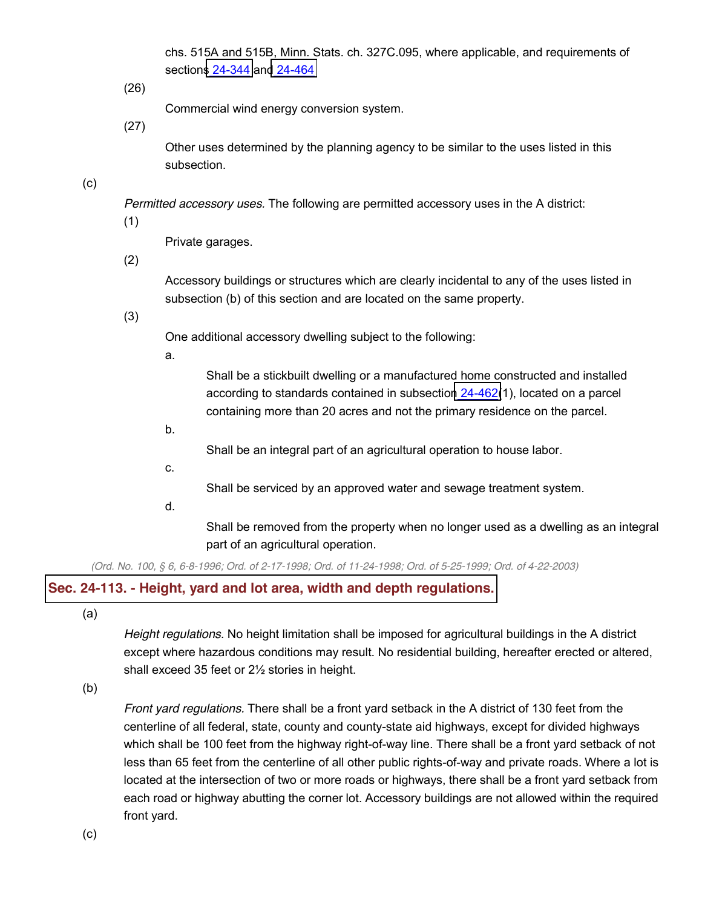chs. 515A and 515B, Minn. Stats. ch. 327C.095, where applicable, and requirements of sections [24-344](http://library.municode.com/HTML/13415/level3/CD_ORD_CH24ZO_ARTVPLUNDE.html#CD_ORD_CH24ZO_ARTVPLUNDE_S24-344SIDECOEXCOINCOREMAHOPAOTSIPRORNODEPUMISTCH515A515B) and [24-464](http://library.municode.com/HTML/13415/level3/CD_ORD_CH24ZO_ARTVIIICOUSPE.html#CD_ORD_CH24ZO_ARTVIIICOUSPE_S24-464BOCOAPRE)

(26)

Commercial wind energy conversion system.

(27)

Other uses determined by the planning agency to be similar to the uses listed in this subsection.

(c)

*Permitted accessory uses.* The following are permitted accessory uses in the A district:

(1)

Private garages.

(2)

Accessory buildings or structures which are clearly incidental to any of the uses listed in subsection (b) of this section and are located on the same property.

(3)

One additional accessory dwelling subject to the following:

a.

Shall be a stickbuilt dwelling or a manufactured home constructed and installed according to standards contained in subsection [24-462\(](http://library.municode.com/HTML/13415/level3/CD_ORD_CH24ZO_ARTVIIICOUSPE.html#CD_ORD_CH24ZO_ARTVIIICOUSPE_S24-462MAHORE)1), located on a parcel containing more than 20 acres and not the primary residence on the parcel.

b.

Shall be an integral part of an agricultural operation to house labor.

c.

Shall be serviced by an approved water and sewage treatment system.

d.

Shall be removed from the property when no longer used as a dwelling as an integral part of an agricultural operation.

(Ord. No. 100, § 6, 6-8-1996; Ord. of 2-17-1998; Ord. of 11-24-1998; Ord. of 5-25-1999; Ord. of 4-22-2003)

### **Sec. 24-113. - Height, yard and lot area, width and depth [regulations.](javascript:void(0))**

(a)

*Height regulations.* No height limitation shall be imposed for agricultural buildings in the A district except where hazardous conditions may result. No residential building, hereafter erected or altered, shall exceed 35 feet or 2½ stories in height.

(b)

*Front yard regulations.* There shall be a front yard setback in the A district of 130 feet from the centerline of all federal, state, county and county-state aid highways, except for divided highways which shall be 100 feet from the highway right-of-way line. There shall be a front yard setback of not less than 65 feet from the centerline of all other public rights-of-way and private roads. Where a lot is located at the intersection of two or more roads or highways, there shall be a front yard setback from each road or highway abutting the corner lot. Accessory buildings are not allowed within the required front yard.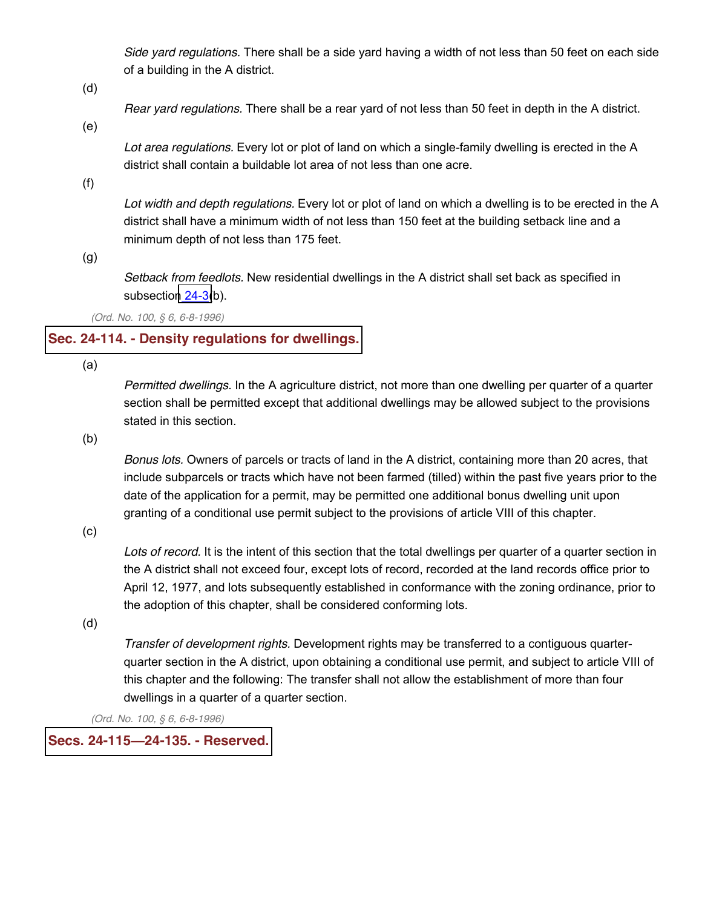*Side yard regulations.* There shall be a side yard having a width of not less than 50 feet on each side of a building in the A district.

(d)

*Rear yard regulations.* There shall be a rear yard of not less than 50 feet in depth in the A district.

(e)

*Lot area regulations.* Every lot or plot of land on which a single-family dwelling is erected in the A district shall contain a buildable lot area of not less than one acre.

(f)

*Lot width and depth regulations.* Every lot or plot of land on which a dwelling is to be erected in the A district shall have a minimum width of not less than 150 feet at the building setback line and a minimum depth of not less than 175 feet.

(g)

*Setback from feedlots.* New residential dwellings in the A district shall set back as specified in subsection [24-3\(](http://library.municode.com/HTML/13415/level3/CD_ORD_CH24ZO_ARTIINGE.html#CD_ORD_CH24ZO_ARTIINGE_S24-3DEWOUS)b).

*(Ord. No. 100, § 6, 6-8-1996)*

# **Sec. 24-114. - Density [regulations](javascript:void(0)) for dwellings.**

(a)

*Permitted dwellings.* In the A agriculture district, not more than one dwelling per quarter of a quarter section shall be permitted except that additional dwellings may be allowed subject to the provisions stated in this section.

(b)

*Bonus lots.* Owners of parcels or tracts of land in the A district, containing more than 20 acres, that include subparcels or tracts which have not been farmed (tilled) within the past five years prior to the date of the application for a permit, may be permitted one additional bonus dwelling unit upon granting of a conditional use permit subject to the provisions of article VIII of this chapter.

(c)

*Lots of record.* It is the intent of this section that the total dwellings per quarter of a quarter section in the A district shall not exceed four, except lots of record, recorded at the land records office prior to April 12, 1977, and lots subsequently established in conformance with the zoning ordinance, prior to the adoption of this chapter, shall be considered conforming lots.

(d)

*Transfer of development rights.* Development rights may be transferred to a contiguous quarterquarter section in the A district, upon obtaining a conditional use permit, and subject to article VIII of this chapter and the following: The transfer shall not allow the establishment of more than four dwellings in a quarter of a quarter section.

*(Ord. No. 100, § 6, 6-8-1996)*

# **Secs. 24-115²24-135. - [Reserved.](javascript:void(0))**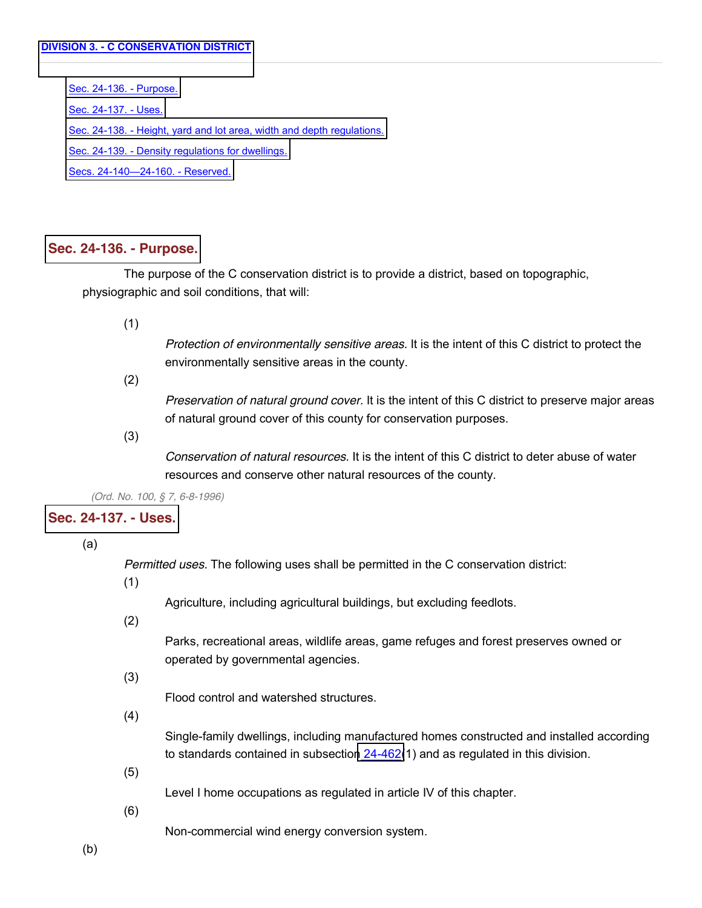[Sec. 24-136. -](http://library.municode.com/HTML/13415/level4/CD_ORD_CH24ZO_ARTIIIDIRE_DIV3CCODI.html#CD_ORD_CH24ZO_ARTIIIDIRE_DIV3CCODI_S24-136PU) Purpose. [Sec. 24-137. -](http://library.municode.com/HTML/13415/level4/CD_ORD_CH24ZO_ARTIIIDIRE_DIV3CCODI.html#CD_ORD_CH24ZO_ARTIIIDIRE_DIV3CCODI_S24-137US) Uses. Sec. 24-138. - [Height, yard and lot area, width and depth regulations.](http://library.municode.com/HTML/13415/level4/CD_ORD_CH24ZO_ARTIIIDIRE_DIV3CCODI.html#CD_ORD_CH24ZO_ARTIIIDIRE_DIV3CCODI_S24-138HEYALOARWIDERE) Sec. 24-139. - [Density regulations for dwellings.](http://library.municode.com/HTML/13415/level4/CD_ORD_CH24ZO_ARTIIIDIRE_DIV3CCODI.html#CD_ORD_CH24ZO_ARTIIIDIRE_DIV3CCODI_S24-139DEREDW) [Secs. 24-140](http://library.municode.com/HTML/13415/level4/CD_ORD_CH24ZO_ARTIIIDIRE_DIV3CCODI.html#CD_ORD_CH24ZO_ARTIIIDIRE_DIV3CCODI_SS24-140--24-160RE)-24-160. - Reserved.

#### **Sec. 24-136. - [Purpose.](javascript:void(0))**

The purpose of the C conservation district is to provide a district, based on topographic, physiographic and soil conditions, that will:

(1)

*Protection of environmentally sensitive areas.* It is the intent of this C district to protect the environmentally sensitive areas in the county.

(2)

*Preservation of natural ground cover.* It is the intent of this C district to preserve major areas of natural ground cover of this county for conservation purposes.

(3)

*Conservation of natural resources.* It is the intent of this C district to deter abuse of water resources and conserve other natural resources of the county.

*(Ord. No. 100, § 7, 6-8-1996)*

# **Sec. [24-137.](javascript:void(0)) - Uses.**

(a)

*Permitted uses.* The following uses shall be permitted in the C conservation district:

(1)

Agriculture, including agricultural buildings, but excluding feedlots.

(2)

Parks, recreational areas, wildlife areas, game refuges and forest preserves owned or operated by governmental agencies.

(3)

Flood control and watershed structures.

(4)

Single-family dwellings, including manufactured homes constructed and installed according to standards contained in subsection [24-462\(](http://library.municode.com/HTML/13415/level3/CD_ORD_CH24ZO_ARTVIIICOUSPE.html#CD_ORD_CH24ZO_ARTVIIICOUSPE_S24-462MAHORE)1) and as regulated in this division.

(5)

Level I home occupations as regulated in article IV of this chapter.

(6)

Non-commercial wind energy conversion system.

(b)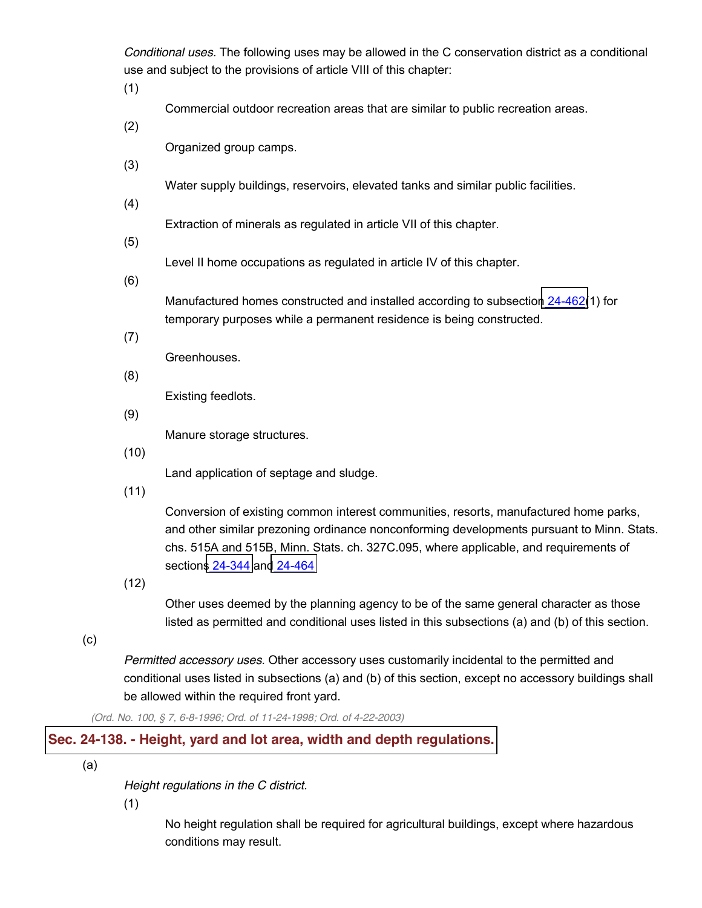*Conditional uses.* The following uses may be allowed in the C conservation district as a conditional use and subject to the provisions of article VIII of this chapter:

(1)

Commercial outdoor recreation areas that are similar to public recreation areas.

(2)

Organized group camps.

(3)

Water supply buildings, reservoirs, elevated tanks and similar public facilities.

(4)

Extraction of minerals as regulated in article VII of this chapter.

(5)

Level II home occupations as regulated in article IV of this chapter.

(6)

Manufactured homes constructed and installed according to subsection [24-462\(](http://library.municode.com/HTML/13415/level3/CD_ORD_CH24ZO_ARTVIIICOUSPE.html#CD_ORD_CH24ZO_ARTVIIICOUSPE_S24-462MAHORE)1) for temporary purposes while a permanent residence is being constructed.

(7)

Greenhouses.

(8)

Existing feedlots.

(9)

Manure storage structures.

(10)

Land application of septage and sludge.

(11)

Conversion of existing common interest communities, resorts, manufactured home parks, and other similar prezoning ordinance nonconforming developments pursuant to Minn. Stats. chs. 515A and 515B, Minn. Stats. ch. 327C.095, where applicable, and requirements of sections [24-344](http://library.municode.com/HTML/13415/level3/CD_ORD_CH24ZO_ARTVPLUNDE.html#CD_ORD_CH24ZO_ARTVPLUNDE_S24-344SIDECOEXCOINCOREMAHOPAOTSIPRORNODEPUMISTCH515A515B) and [24-464](http://library.municode.com/HTML/13415/level3/CD_ORD_CH24ZO_ARTVIIICOUSPE.html#CD_ORD_CH24ZO_ARTVIIICOUSPE_S24-464BOCOAPRE)

(12)

Other uses deemed by the planning agency to be of the same general character as those listed as permitted and conditional uses listed in this subsections (a) and (b) of this section.

(c)

*Permitted accessory uses.* Other accessory uses customarily incidental to the permitted and conditional uses listed in subsections (a) and (b) of this section, except no accessory buildings shall be allowed within the required front yard.

*(Ord. No. 100, § 7, 6-8-1996; Ord. of 11-24-1998; Ord. of 4-22-2003)*

# **Sec. 24-138. - Height, yard and lot area, width and depth [regulations.](javascript:void(0))**

(a)

*Height regulations in the C district.*

(1)

No height regulation shall be required for agricultural buildings, except where hazardous conditions may result.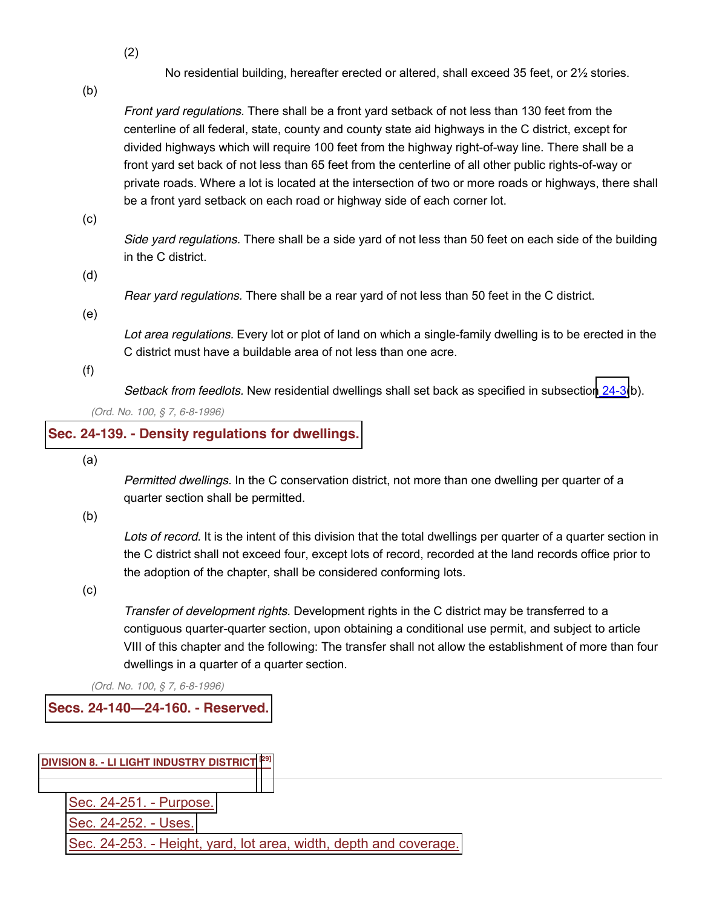(2)

No residential building, hereafter erected or altered, shall exceed 35 feet, or 2½ stories.

(b)

*Front yard regulations.* There shall be a front yard setback of not less than 130 feet from the centerline of all federal, state, county and county state aid highways in the C district, except for divided highways which will require 100 feet from the highway right-of-way line. There shall be a front yard set back of not less than 65 feet from the centerline of all other public rights-of-way or private roads. Where a lot is located at the intersection of two or more roads or highways, there shall be a front yard setback on each road or highway side of each corner lot.

(c)

*Side yard regulations.* There shall be a side yard of not less than 50 feet on each side of the building in the C district.

(d)

*Rear yard regulations.* There shall be a rear yard of not less than 50 feet in the C district.

(e)

*Lot area regulations.* Every lot or plot of land on which a single-family dwelling is to be erected in the C district must have a buildable area of not less than one acre.

(f)

*Setback from feedlots.* New residential dwellings shall set back as specified in subsection [24-3\(](http://library.municode.com/HTML/13415/level3/CD_ORD_CH24ZO_ARTIINGE.html#CD_ORD_CH24ZO_ARTIINGE_S24-3DEWOUS)b).

*(Ord. No. 100, § 7, 6-8-1996)*

#### **Sec. 24-139. - Density [regulations](javascript:void(0)) for dwellings.**

(a)

*Permitted dwellings.* In the C conservation district, not more than one dwelling per quarter of a quarter section shall be permitted.

(b)

*Lots of record.* It is the intent of this division that the total dwellings per quarter of a quarter section in the C district shall not exceed four, except lots of record, recorded at the land records office prior to the adoption of the chapter, shall be considered conforming lots.

(c)

*Transfer of development rights.* Development rights in the C district may be transferred to a contiguous quarter-quarter section, upon obtaining a conditional use permit, and subject to article VIII of this chapter and the following: The transfer shall not allow the establishment of more than four dwellings in a quarter of a quarter section.

*(Ord. No. 100, § 7, 6-8-1996)*

### **Secs. 24-140²24-160. - [Reserved.](javascript:void(0))**

#### **DIVISION 8. - [LI LIGHT INDUSTRY DISTRICT](javascript:void(0)) [\[29\]](javascript:void(0))**

[Sec. 24-251. -](http://library.municode.com/HTML/13415/level4/CD_ORD_CH24ZO_ARTIIIDIRE_DIV8LILIINDI.html#CD_ORD_CH24ZO_ARTIIIDIRE_DIV8LILIINDI_S24-251PU) Purpose. [Sec. 24-252. -](http://library.municode.com/HTML/13415/level4/CD_ORD_CH24ZO_ARTIIIDIRE_DIV8LILIINDI.html#CD_ORD_CH24ZO_ARTIIIDIRE_DIV8LILIINDI_S24-252US) Uses. Sec. 24-253. - [Height, yard, lot area, width, depth and coverage.](http://library.municode.com/HTML/13415/level4/CD_ORD_CH24ZO_ARTIIIDIRE_DIV8LILIINDI.html#CD_ORD_CH24ZO_ARTIIIDIRE_DIV8LILIINDI_S24-253HEYALOARWIDECO)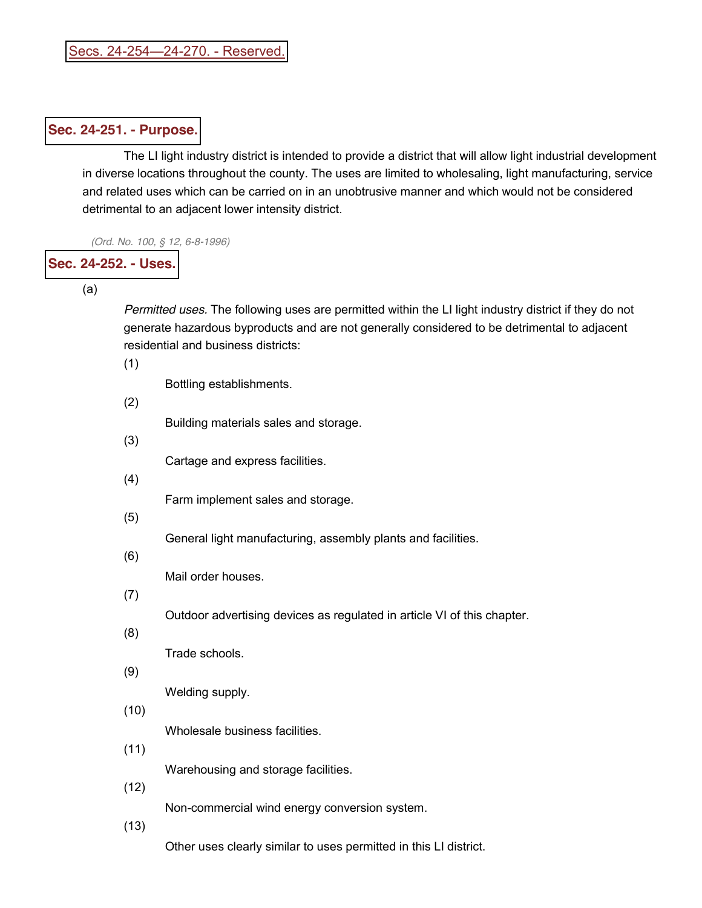### **Sec. 24-251. - [Purpose.](javascript:void(0))**

The LI light industry district is intended to provide a district that will allow light industrial development in diverse locations throughout the county. The uses are limited to wholesaling, light manufacturing, service and related uses which can be carried on in an unobtrusive manner and which would not be considered detrimental to an adjacent lower intensity district.

*(Ord. No. 100, § 12, 6-8-1996)*

### **Sec. [24-252.](javascript:void(0)) - Uses.**

(a)

*Permitted uses.* The following uses are permitted within the LI light industry district if they do not generate hazardous byproducts and are not generally considered to be detrimental to adjacent residential and business districts:

(1)

Bottling establishments.

(2)

Building materials sales and storage.

- (3) Cartage and express facilities.
- (4)

Farm implement sales and storage.

(5)

General light manufacturing, assembly plants and facilities.

(6)

Mail order houses.

(7)

Outdoor advertising devices as regulated in article VI of this chapter.

(8)

Trade schools.

(9)

Welding supply.

(10)

Wholesale business facilities.

(11)

Warehousing and storage facilities.

(12)

Non-commercial wind energy conversion system.

(13)

Other uses clearly similar to uses permitted in this LI district.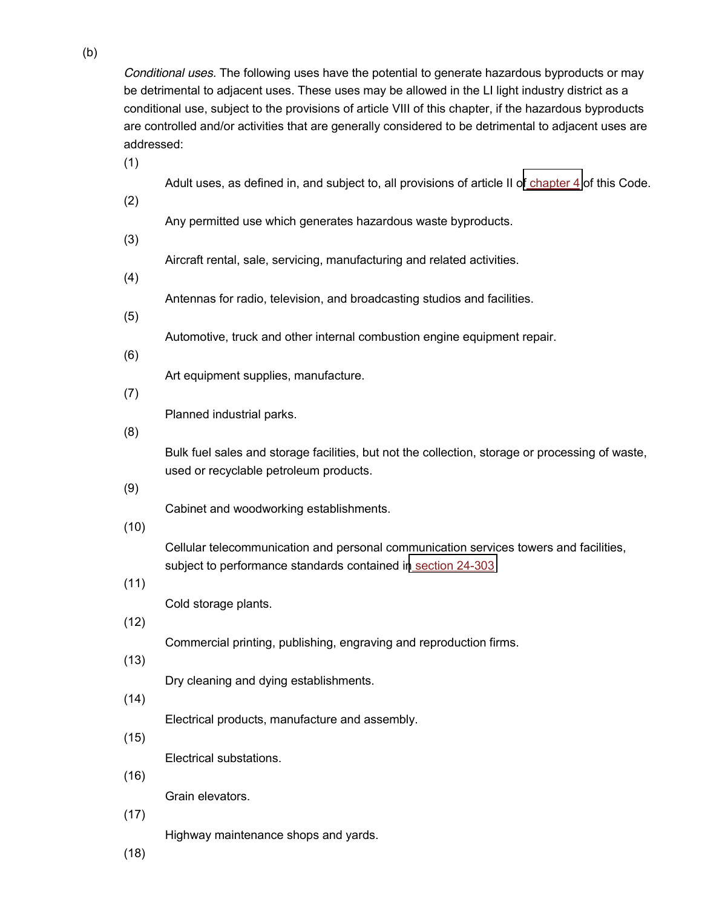*Conditional uses.* The following uses have the potential to generate hazardous byproducts or may be detrimental to adjacent uses. These uses may be allowed in the LI light industry district as a conditional use, subject to the provisions of article VIII of this chapter, if the hazardous byproducts are controlled and/or activities that are generally considered to be detrimental to adjacent uses are addressed:

(1)

Adult uses, as defined in, and subject to, all provisions of article II of [chapter](http://library.municode.com/HTML/13415/level2/CD_ORD_CH4BU.html#CD_ORD_CH4BU) 4 of this Code.

(2)

Any permitted use which generates hazardous waste byproducts.

(3)

Aircraft rental, sale, servicing, manufacturing and related activities.

(4)

Antennas for radio, television, and broadcasting studios and facilities.

(5)

Automotive, truck and other internal combustion engine equipment repair.

(6)

Art equipment supplies, manufacture.

(7)

Planned industrial parks.

(8)

Bulk fuel sales and storage facilities, but not the collection, storage or processing of waste, used or recyclable petroleum products.

(9)

Cabinet and woodworking establishments.

(10)

Cellular telecommunication and personal communication services towers and facilities, subject to performance standards contained in [section](http://library.municode.com/HTML/13415/level3/CD_ORD_CH24ZO_ARTIVREST.html#CD_ORD_CH24ZO_ARTIVREST_S24-303PEST) 24-303

(11)

Cold storage plants.

(12)

Commercial printing, publishing, engraving and reproduction firms.

(13)

Dry cleaning and dying establishments.

(14)

Electrical products, manufacture and assembly.

(15)

Electrical substations.

(16)

Grain elevators.

(17)

Highway maintenance shops and yards.

(18)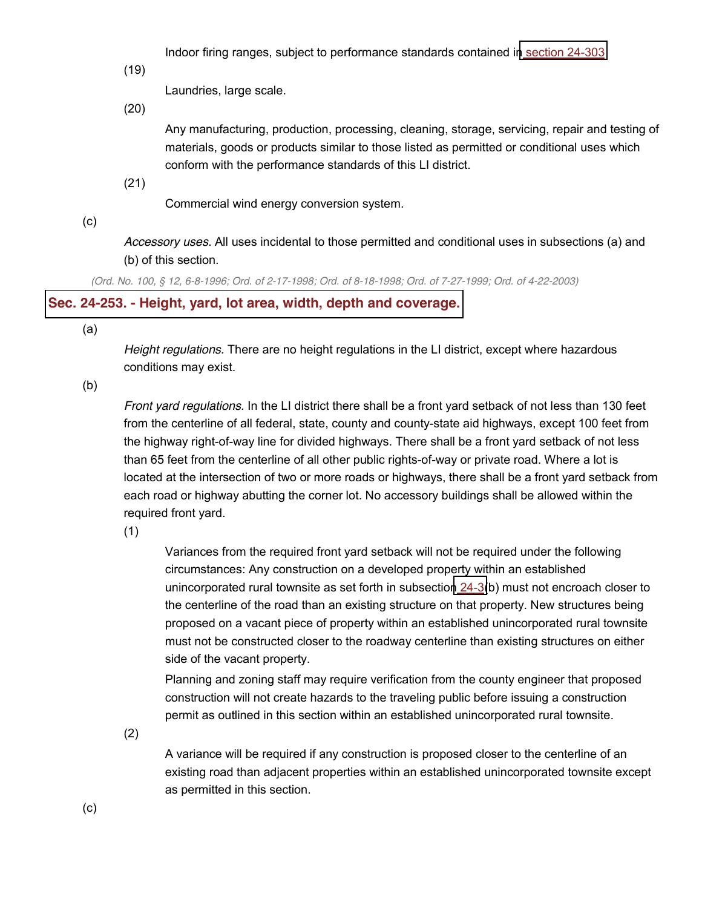Indoor firing ranges, subject to performance standards contained in [section](http://library.municode.com/HTML/13415/level3/CD_ORD_CH24ZO_ARTIVREST.html#CD_ORD_CH24ZO_ARTIVREST_S24-303PEST) 24-303

(19)

Laundries, large scale.

(20)

Any manufacturing, production, processing, cleaning, storage, servicing, repair and testing of materials, goods or products similar to those listed as permitted or conditional uses which conform with the performance standards of this LI district.

(21)

Commercial wind energy conversion system.

(c)

*Accessory uses.* All uses incidental to those permitted and conditional uses in subsections (a) and (b) of this section.

(Ord. No. 100, § 12, 6-8-1996; Ord. of 2-17-1998; Ord. of 8-18-1998; Ord. of 7-27-1999; Ord. of 4-22-2003)

# **Sec. 24-253. - Height, yard, lot area, width, depth and [coverage.](javascript:void(0))**

(a)

*Height regulations.* There are no height regulations in the LI district, except where hazardous conditions may exist.

(b)

*Front yard regulations.* In the LI district there shall be a front yard setback of not less than 130 feet from the centerline of all federal, state, county and county-state aid highways, except 100 feet from the highway right-of-way line for divided highways. There shall be a front yard setback of not less than 65 feet from the centerline of all other public rights-of-way or private road. Where a lot is located at the intersection of two or more roads or highways, there shall be a front yard setback from each road or highway abutting the corner lot. No accessory buildings shall be allowed within the required front yard.

(1)

Variances from the required front yard setback will not be required under the following circumstances: Any construction on a developed property within an established unincorporated rural townsite as set forth in subsection [24-3\(](http://library.municode.com/HTML/13415/level3/CD_ORD_CH24ZO_ARTIINGE.html#CD_ORD_CH24ZO_ARTIINGE_S24-3DEWOUS)b) must not encroach closer to the centerline of the road than an existing structure on that property. New structures being proposed on a vacant piece of property within an established unincorporated rural townsite must not be constructed closer to the roadway centerline than existing structures on either side of the vacant property.

Planning and zoning staff may require verification from the county engineer that proposed construction will not create hazards to the traveling public before issuing a construction permit as outlined in this section within an established unincorporated rural townsite.

(2)

A variance will be required if any construction is proposed closer to the centerline of an existing road than adjacent properties within an established unincorporated townsite except as permitted in this section.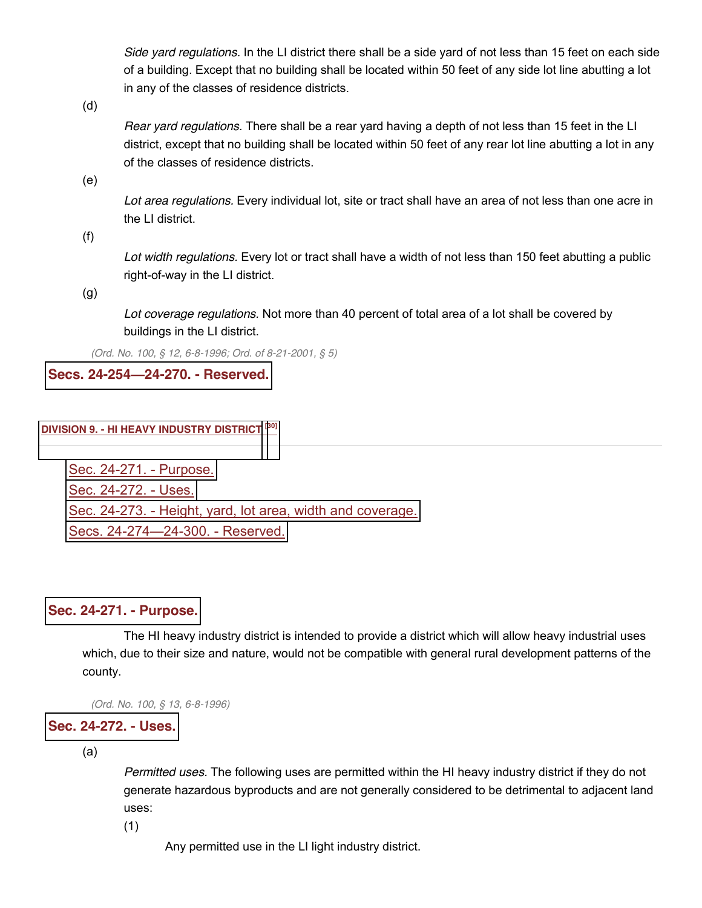*Side yard regulations.* In the LI district there shall be a side yard of not less than 15 feet on each side of a building. Except that no building shall be located within 50 feet of any side lot line abutting a lot in any of the classes of residence districts.

(d)

*Rear yard regulations.* There shall be a rear yard having a depth of not less than 15 feet in the LI district, except that no building shall be located within 50 feet of any rear lot line abutting a lot in any of the classes of residence districts.

(e)

*Lot area regulations.* Every individual lot, site or tract shall have an area of not less than one acre in the LI district.

(f)

*Lot width regulations.* Every lot or tract shall have a width of not less than 150 feet abutting a public right-of-way in the LI district.

(g)

*Lot coverage regulations.* Not more than 40 percent of total area of a lot shall be covered by buildings in the LI district.

*(Ord. No. 100, § 12, 6-8-1996; Ord. of 8-21-2001, § 5)*

**Secs. 24-254²24-270. - [Reserved.](javascript:void(0))**

#### **DIVISION 9. - [HI HEAVY INDUSTRY DISTRICT](javascript:void(0)) [\[30\]](javascript:void(0))**

[Sec. 24-271. -](http://library.municode.com/HTML/13415/level4/CD_ORD_CH24ZO_ARTIIIDIRE_DIV9HIHEINDI.html#CD_ORD_CH24ZO_ARTIIIDIRE_DIV9HIHEINDI_S24-271PU) Purpose. [Sec. 24-272. -](http://library.municode.com/HTML/13415/level4/CD_ORD_CH24ZO_ARTIIIDIRE_DIV9HIHEINDI.html#CD_ORD_CH24ZO_ARTIIIDIRE_DIV9HIHEINDI_S24-272US) Uses. Sec. 24-273. - [Height, yard, lot area, width and coverage.](http://library.municode.com/HTML/13415/level4/CD_ORD_CH24ZO_ARTIIIDIRE_DIV9HIHEINDI.html#CD_ORD_CH24ZO_ARTIIIDIRE_DIV9HIHEINDI_S24-273HEYALOARWICO) [Secs. 24-274](http://library.municode.com/HTML/13415/level4/CD_ORD_CH24ZO_ARTIIIDIRE_DIV9HIHEINDI.html#CD_ORD_CH24ZO_ARTIIIDIRE_DIV9HIHEINDI_SS24-274--24-300RE)-24-300. - Reserved.

### **Sec. 24-271. - [Purpose.](javascript:void(0))**

The HI heavy industry district is intended to provide a district which will allow heavy industrial uses which, due to their size and nature, would not be compatible with general rural development patterns of the county.

*(Ord. No. 100, § 13, 6-8-1996)*

# **Sec. [24-272.](javascript:void(0)) - Uses.**

(a)

*Permitted uses.* The following uses are permitted within the HI heavy industry district if they do not generate hazardous byproducts and are not generally considered to be detrimental to adjacent land uses:

(1)

Any permitted use in the LI light industry district.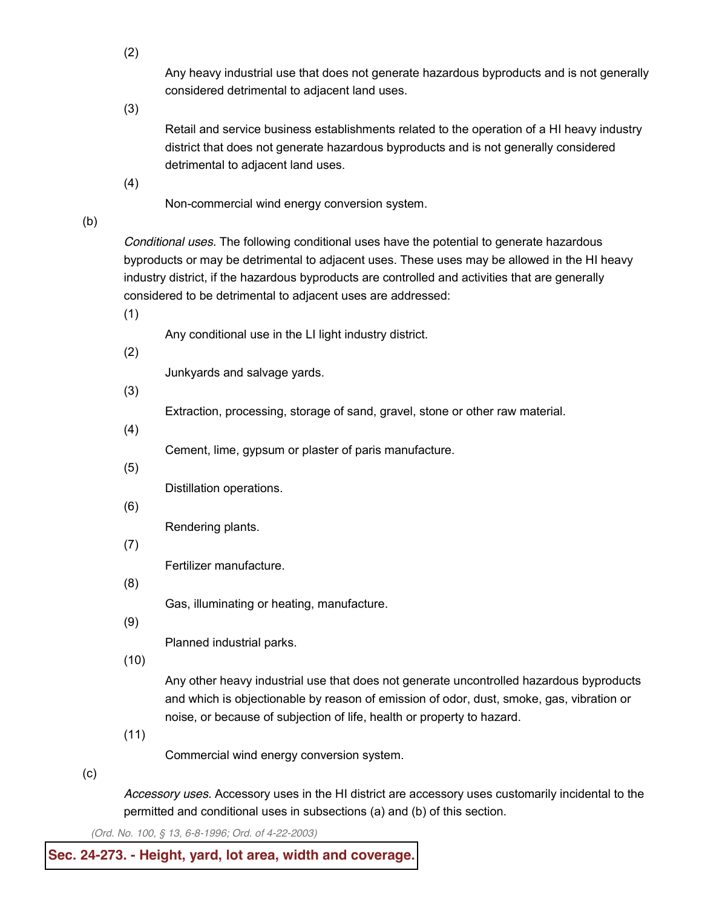(2)

Any heavy industrial use that does not generate hazardous byproducts and is not generally considered detrimental to adjacent land uses.

(3)

Retail and service business establishments related to the operation of a HI heavy industry district that does not generate hazardous byproducts and is not generally considered detrimental to adjacent land uses.

(4)

Non-commercial wind energy conversion system.

(b)

*Conditional uses.* The following conditional uses have the potential to generate hazardous byproducts or may be detrimental to adjacent uses. These uses may be allowed in the HI heavy industry district, if the hazardous byproducts are controlled and activities that are generally considered to be detrimental to adjacent uses are addressed:

(1)

Any conditional use in the LI light industry district.

(2)

Junkyards and salvage yards.

(3)

Extraction, processing, storage of sand, gravel, stone or other raw material.

(4)

Cement, lime, gypsum or plaster of paris manufacture.

(5)

Distillation operations.

(6)

Rendering plants.

(7)

Fertilizer manufacture.

(8)

Gas, illuminating or heating, manufacture.

(9)

Planned industrial parks.

(10)

Any other heavy industrial use that does not generate uncontrolled hazardous byproducts and which is objectionable by reason of emission of odor, dust, smoke, gas, vibration or noise, or because of subjection of life, health or property to hazard.

(11)

Commercial wind energy conversion system.

(c)

*Accessory uses.* Accessory uses in the HI district are accessory uses customarily incidental to the permitted and conditional uses in subsections (a) and (b) of this section.

*(Ord. No. 100, § 13, 6-8-1996; Ord. of 4-22-2003)*

# **Sec. 24-273. - Height, yard, lot area, width and [coverage.](javascript:void(0))**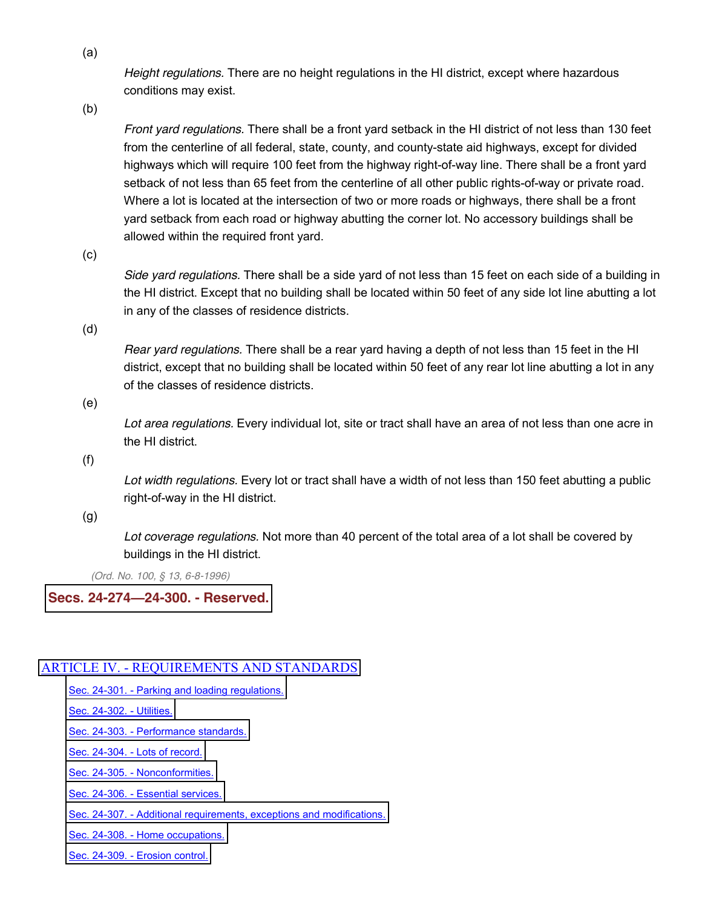*Height regulations.* There are no height regulations in the HI district, except where hazardous conditions may exist.

(b)

*Front yard regulations.* There shall be a front yard setback in the HI district of not less than 130 feet from the centerline of all federal, state, county, and county-state aid highways, except for divided highways which will require 100 feet from the highway right-of-way line. There shall be a front yard setback of not less than 65 feet from the centerline of all other public rights-of-way or private road. Where a lot is located at the intersection of two or more roads or highways, there shall be a front yard setback from each road or highway abutting the corner lot. No accessory buildings shall be allowed within the required front yard.

(c)

*Side yard regulations.* There shall be a side yard of not less than 15 feet on each side of a building in the HI district. Except that no building shall be located within 50 feet of any side lot line abutting a lot in any of the classes of residence districts.

(d)

*Rear yard regulations.* There shall be a rear yard having a depth of not less than 15 feet in the HI district, except that no building shall be located within 50 feet of any rear lot line abutting a lot in any of the classes of residence districts.

(e)

*Lot area regulations.* Every individual lot, site or tract shall have an area of not less than one acre in the HI district.

(f)

*Lot width regulations.* Every lot or tract shall have a width of not less than 150 feet abutting a public right-of-way in the HI district.

(g)

*Lot coverage regulations.* Not more than 40 percent of the total area of a lot shall be covered by buildings in the HI district.

*(Ord. No. 100, § 13, 6-8-1996)*

### **Secs. 24-274²24-300. - [Reserved.](javascript:void(0))**

# ARTICLE IV. - [REQUIREMENTS AND STANDARDS](javascript:void(0))

Sec. 24-301. - [Parking and loading regulations.](http://library.municode.com/HTML/13415/level3/CD_ORD_CH24ZO_ARTIVREST.html#CD_ORD_CH24ZO_ARTIVREST_S24-301PALORE)

[Sec. 24-302. -](http://library.municode.com/HTML/13415/level3/CD_ORD_CH24ZO_ARTIVREST.html#CD_ORD_CH24ZO_ARTIVREST_S24-302UT) Utilities.

Sec. 24-303. - [Performance standards.](http://library.municode.com/HTML/13415/level3/CD_ORD_CH24ZO_ARTIVREST.html#CD_ORD_CH24ZO_ARTIVREST_S24-303PEST)

Sec. 24-304. - [Lots of record.](http://library.municode.com/HTML/13415/level3/CD_ORD_CH24ZO_ARTIVREST.html#CD_ORD_CH24ZO_ARTIVREST_S24-304LORE)

Sec. 24-305. - [Nonconformities.](http://library.municode.com/HTML/13415/level3/CD_ORD_CH24ZO_ARTIVREST.html#CD_ORD_CH24ZO_ARTIVREST_S24-305NO)

Sec. 24-306. - [Essential services.](http://library.municode.com/HTML/13415/level3/CD_ORD_CH24ZO_ARTIVREST.html#CD_ORD_CH24ZO_ARTIVREST_S24-306ESSE)

Sec. 24-307. - [Additional requirements, exceptions and modifications.](http://library.municode.com/HTML/13415/level3/CD_ORD_CH24ZO_ARTIVREST.html#CD_ORD_CH24ZO_ARTIVREST_S24-307ADREEXMO)

Sec. 24-308. - [Home occupations.](http://library.municode.com/HTML/13415/level3/CD_ORD_CH24ZO_ARTIVREST.html#CD_ORD_CH24ZO_ARTIVREST_S24-308HOOC)

Sec. 24-309. - [Erosion control.](http://library.municode.com/HTML/13415/level3/CD_ORD_CH24ZO_ARTIVREST.html#CD_ORD_CH24ZO_ARTIVREST_S24-309ERCO)

(a)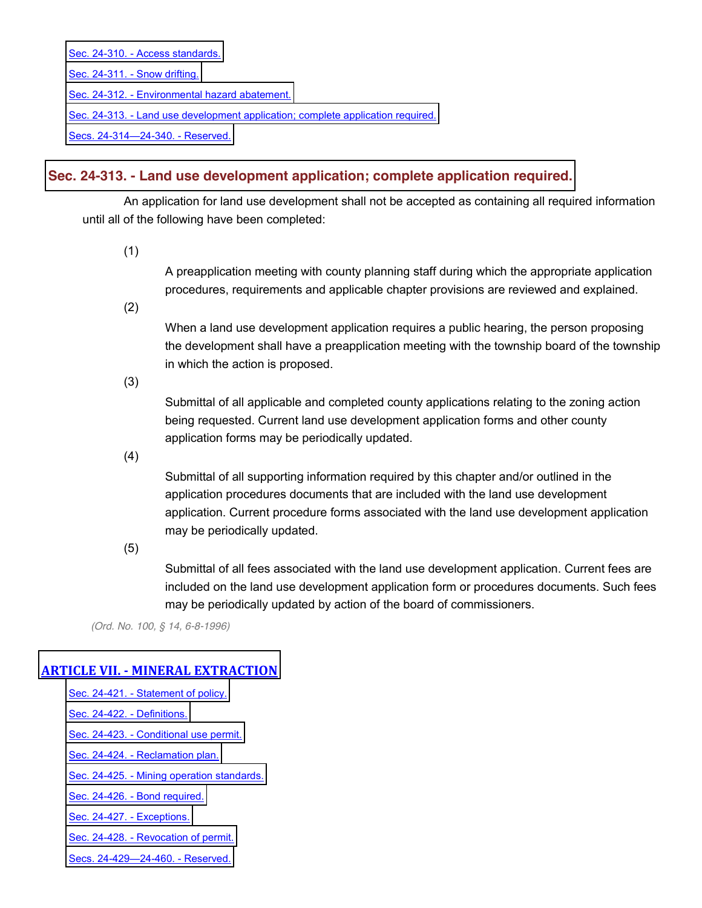Sec. 24-310. - [Access standards.](http://library.municode.com/HTML/13415/level3/CD_ORD_CH24ZO_ARTIVREST.html#CD_ORD_CH24ZO_ARTIVREST_S24-310ACST) [Sec. 24-311. -](http://library.municode.com/HTML/13415/level3/CD_ORD_CH24ZO_ARTIVREST.html#CD_ORD_CH24ZO_ARTIVREST_S24-311SNDR) Snow drifting. Sec. 24-312. - [Environmental hazard abatement.](http://library.municode.com/HTML/13415/level3/CD_ORD_CH24ZO_ARTIVREST.html#CD_ORD_CH24ZO_ARTIVREST_S24-312ENHAAB) Sec. 24-313. - [Land use development application; complete application required.](http://library.municode.com/HTML/13415/level3/CD_ORD_CH24ZO_ARTIVREST.html#CD_ORD_CH24ZO_ARTIVREST_S24-313LAUSDEAPCOAPRE)

[Secs. 24-314](http://library.municode.com/HTML/13415/level3/CD_ORD_CH24ZO_ARTIVREST.html#CD_ORD_CH24ZO_ARTIVREST_SS24-314--24-340RE)-24-340. - Reserved.

# **Sec. 24-313. - Land use [development](javascript:void(0)) application; complete application required.**

An application for land use development shall not be accepted as containing all required information until all of the following have been completed:

(1)

A preapplication meeting with county planning staff during which the appropriate application procedures, requirements and applicable chapter provisions are reviewed and explained.

(2)

When a land use development application requires a public hearing, the person proposing the development shall have a preapplication meeting with the township board of the township in which the action is proposed.

(3)

Submittal of all applicable and completed county applications relating to the zoning action being requested. Current land use development application forms and other county application forms may be periodically updated.

(4)

Submittal of all supporting information required by this chapter and/or outlined in the application procedures documents that are included with the land use development application. Current procedure forms associated with the land use development application may be periodically updated.

(5)

Submittal of all fees associated with the land use development application. Current fees are included on the land use development application form or procedures documents. Such fees may be periodically updated by action of the board of commissioners.

*(Ord. No. 100, § 14, 6-8-1996)*

# **ARTICLE VII. - MINERAL EXTRACTION**

Sec. 24-421. - [Statement of policy.](http://library.municode.com/HTML/13415/level3/CD_ORD_CH24ZO_ARTVIIMIEX.html#CD_ORD_CH24ZO_ARTVIIMIEX_S24-421STPO)

[Sec. 24-422. -](http://library.municode.com/HTML/13415/level3/CD_ORD_CH24ZO_ARTVIIMIEX.html#CD_ORD_CH24ZO_ARTVIIMIEX_S24-422DE) Definitions.

Sec. 24-423. - [Conditional use permit.](http://library.municode.com/HTML/13415/level3/CD_ORD_CH24ZO_ARTVIIMIEX.html#CD_ORD_CH24ZO_ARTVIIMIEX_S24-423COUSPE)

Sec. 24-424. - [Reclamation plan.](http://library.municode.com/HTML/13415/level3/CD_ORD_CH24ZO_ARTVIIMIEX.html#CD_ORD_CH24ZO_ARTVIIMIEX_S24-424REPL)

Sec. 24-425. - [Mining operation standards.](http://library.municode.com/HTML/13415/level3/CD_ORD_CH24ZO_ARTVIIMIEX.html#CD_ORD_CH24ZO_ARTVIIMIEX_S24-425MIOPST)

Sec. 24-426. - [Bond required.](http://library.municode.com/HTML/13415/level3/CD_ORD_CH24ZO_ARTVIIMIEX.html#CD_ORD_CH24ZO_ARTVIIMIEX_S24-426BORE)

[Sec. 24-427. -](http://library.municode.com/HTML/13415/level3/CD_ORD_CH24ZO_ARTVIIMIEX.html#CD_ORD_CH24ZO_ARTVIIMIEX_S24-427EX) Exceptions.

Sec. 24-428. - [Revocation of permit.](http://library.municode.com/HTML/13415/level3/CD_ORD_CH24ZO_ARTVIIMIEX.html#CD_ORD_CH24ZO_ARTVIIMIEX_S24-428REPE)

[Secs. 24-429](http://library.municode.com/HTML/13415/level3/CD_ORD_CH24ZO_ARTVIIMIEX.html#CD_ORD_CH24ZO_ARTVIIMIEX_SS24-429--24-460RE)-24-460. - Reserved.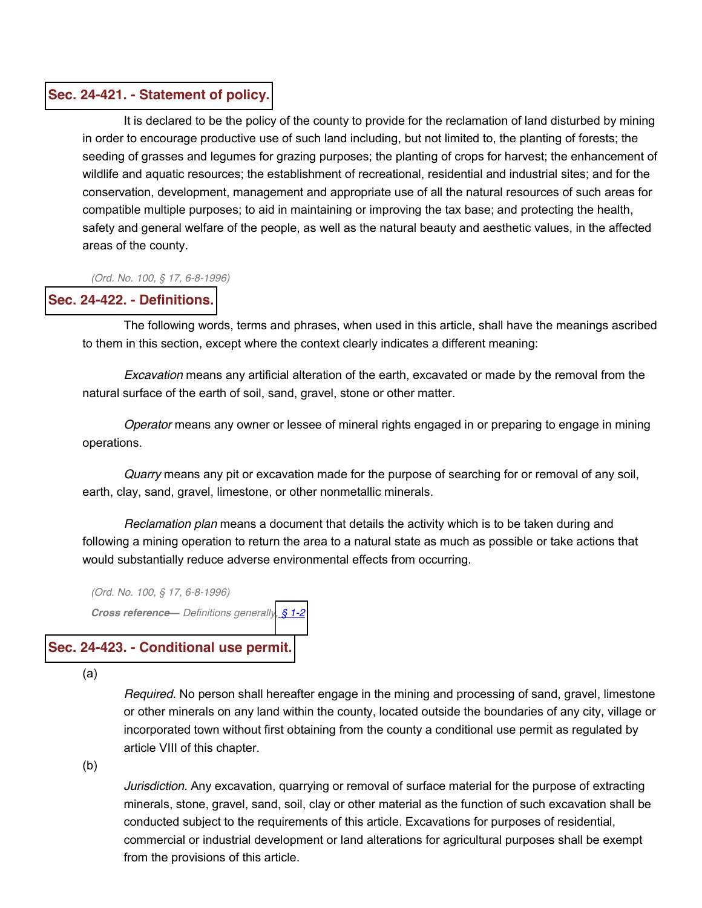#### **Sec. 24-421. - [Statement](javascript:void(0)) of policy.**

It is declared to be the policy of the county to provide for the reclamation of land disturbed by mining in order to encourage productive use of such land including, but not limited to, the planting of forests; the seeding of grasses and legumes for grazing purposes; the planting of crops for harvest; the enhancement of wildlife and aquatic resources; the establishment of recreational, residential and industrial sites; and for the conservation, development, management and appropriate use of all the natural resources of such areas for compatible multiple purposes; to aid in maintaining or improving the tax base; and protecting the health, safety and general welfare of the people, as well as the natural beauty and aesthetic values, in the affected areas of the county.

*(Ord. No. 100, § 17, 6-8-1996)*

#### **Sec. 24-422. - [Definitions.](javascript:void(0))**

The following words, terms and phrases, when used in this article, shall have the meanings ascribed to them in this section, except where the context clearly indicates a different meaning:

*Excavation* means any artificial alteration of the earth, excavated or made by the removal from the natural surface of the earth of soil, sand, gravel, stone or other matter.

*Operator* means any owner or lessee of mineral rights engaged in or preparing to engage in mining operations.

*Quarry* means any pit or excavation made for the purpose of searching for or removal of any soil, earth, clay, sand, gravel, limestone, or other nonmetallic minerals.

*Reclamation plan* means a document that details the activity which is to be taken during and following a mining operation to return the area to a natural state as much as possible or take actions that would substantially reduce adverse environmental effects from occurring.

*(Ord. No. 100, § 17, 6-8-1996) Cross reference² Definitions generally, § [1-2](http://library.municode.com/HTML/13415/level2/CD_ORD_CH1GEPR.html#CD_ORD_CH1GEPR_S1-2DERUCO)*

#### **Sec. 24-423. - [Conditional](javascript:void(0)) use permit.**

(a)

*Required.* No person shall hereafter engage in the mining and processing of sand, gravel, limestone or other minerals on any land within the county, located outside the boundaries of any city, village or incorporated town without first obtaining from the county a conditional use permit as regulated by article VIII of this chapter.

(b)

*Jurisdiction.* Any excavation, quarrying or removal of surface material for the purpose of extracting minerals, stone, gravel, sand, soil, clay or other material as the function of such excavation shall be conducted subject to the requirements of this article. Excavations for purposes of residential, commercial or industrial development or land alterations for agricultural purposes shall be exempt from the provisions of this article.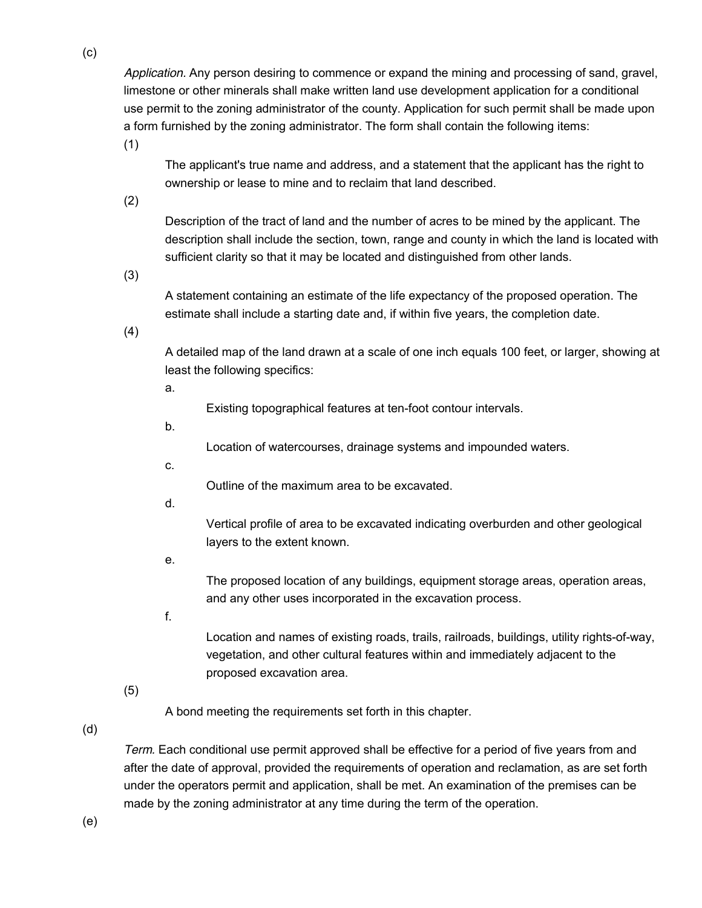*Application.* Any person desiring to commence or expand the mining and processing of sand, gravel, limestone or other minerals shall make written land use development application for a conditional use permit to the zoning administrator of the county. Application for such permit shall be made upon a form furnished by the zoning administrator. The form shall contain the following items:

(1)

The applicant's true name and address, and a statement that the applicant has the right to ownership or lease to mine and to reclaim that land described.

(2)

Description of the tract of land and the number of acres to be mined by the applicant. The description shall include the section, town, range and county in which the land is located with sufficient clarity so that it may be located and distinguished from other lands.

(3)

A statement containing an estimate of the life expectancy of the proposed operation. The estimate shall include a starting date and, if within five years, the completion date.

(4)

A detailed map of the land drawn at a scale of one inch equals 100 feet, or larger, showing at least the following specifics:

a.

Existing topographical features at ten-foot contour intervals.

b.

Location of watercourses, drainage systems and impounded waters.

c.

Outline of the maximum area to be excavated.

d.

Vertical profile of area to be excavated indicating overburden and other geological layers to the extent known.

e.

The proposed location of any buildings, equipment storage areas, operation areas, and any other uses incorporated in the excavation process.

f.

Location and names of existing roads, trails, railroads, buildings, utility rights-of-way, vegetation, and other cultural features within and immediately adjacent to the proposed excavation area.

(5)

A bond meeting the requirements set forth in this chapter.

(d)

*Term.* Each conditional use permit approved shall be effective for a period of five years from and after the date of approval, provided the requirements of operation and reclamation, as are set forth under the operators permit and application, shall be met. An examination of the premises can be made by the zoning administrator at any time during the term of the operation.

(e)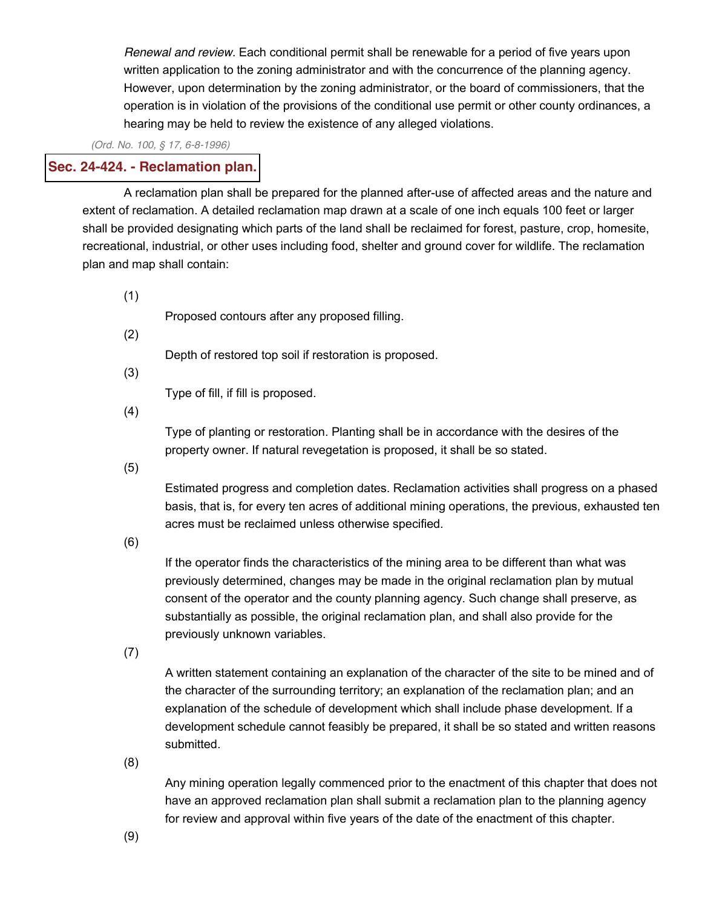*Renewal and review.* Each conditional permit shall be renewable for a period of five years upon written application to the zoning administrator and with the concurrence of the planning agency. However, upon determination by the zoning administrator, or the board of commissioners, that the operation is in violation of the provisions of the conditional use permit or other county ordinances, a hearing may be held to review the existence of any alleged violations.

*(Ord. No. 100, § 17, 6-8-1996)*

# **Sec. 24-424. - [Reclamation](javascript:void(0)) plan.**

A reclamation plan shall be prepared for the planned after-use of affected areas and the nature and extent of reclamation. A detailed reclamation map drawn at a scale of one inch equals 100 feet or larger shall be provided designating which parts of the land shall be reclaimed for forest, pasture, crop, homesite, recreational, industrial, or other uses including food, shelter and ground cover for wildlife. The reclamation plan and map shall contain:

(1)

Proposed contours after any proposed filling.

(2)

Depth of restored top soil if restoration is proposed.

(3)

Type of fill, if fill is proposed.

(4)

Type of planting or restoration. Planting shall be in accordance with the desires of the property owner. If natural revegetation is proposed, it shall be so stated.

(5)

Estimated progress and completion dates. Reclamation activities shall progress on a phased basis, that is, for every ten acres of additional mining operations, the previous, exhausted ten acres must be reclaimed unless otherwise specified.

(6)

If the operator finds the characteristics of the mining area to be different than what was previously determined, changes may be made in the original reclamation plan by mutual consent of the operator and the county planning agency. Such change shall preserve, as substantially as possible, the original reclamation plan, and shall also provide for the previously unknown variables.

(7)

A written statement containing an explanation of the character of the site to be mined and of the character of the surrounding territory; an explanation of the reclamation plan; and an explanation of the schedule of development which shall include phase development. If a development schedule cannot feasibly be prepared, it shall be so stated and written reasons submitted.

(8)

Any mining operation legally commenced prior to the enactment of this chapter that does not have an approved reclamation plan shall submit a reclamation plan to the planning agency for review and approval within five years of the date of the enactment of this chapter.

(9)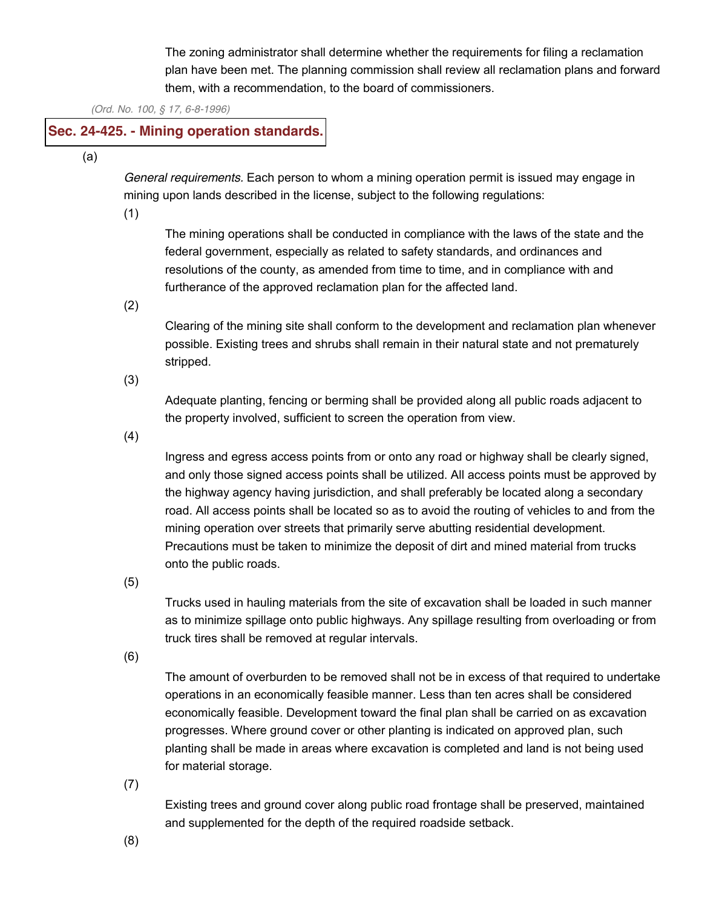The zoning administrator shall determine whether the requirements for filing a reclamation plan have been met. The planning commission shall review all reclamation plans and forward them, with a recommendation, to the board of commissioners.

*(Ord. No. 100, § 17, 6-8-1996)*

# **Sec. 24-425. - Mining operation [standards.](javascript:void(0))**

(a)

*General requirements.* Each person to whom a mining operation permit is issued may engage in mining upon lands described in the license, subject to the following regulations:

(1)

The mining operations shall be conducted in compliance with the laws of the state and the federal government, especially as related to safety standards, and ordinances and resolutions of the county, as amended from time to time, and in compliance with and furtherance of the approved reclamation plan for the affected land.

(2)

Clearing of the mining site shall conform to the development and reclamation plan whenever possible. Existing trees and shrubs shall remain in their natural state and not prematurely stripped.

(3)

Adequate planting, fencing or berming shall be provided along all public roads adjacent to the property involved, sufficient to screen the operation from view.

(4)

Ingress and egress access points from or onto any road or highway shall be clearly signed, and only those signed access points shall be utilized. All access points must be approved by the highway agency having jurisdiction, and shall preferably be located along a secondary road. All access points shall be located so as to avoid the routing of vehicles to and from the mining operation over streets that primarily serve abutting residential development. Precautions must be taken to minimize the deposit of dirt and mined material from trucks onto the public roads.

(5)

Trucks used in hauling materials from the site of excavation shall be loaded in such manner as to minimize spillage onto public highways. Any spillage resulting from overloading or from truck tires shall be removed at regular intervals.

(6)

The amount of overburden to be removed shall not be in excess of that required to undertake operations in an economically feasible manner. Less than ten acres shall be considered economically feasible. Development toward the final plan shall be carried on as excavation progresses. Where ground cover or other planting is indicated on approved plan, such planting shall be made in areas where excavation is completed and land is not being used for material storage.

(7)

Existing trees and ground cover along public road frontage shall be preserved, maintained and supplemented for the depth of the required roadside setback.

(8)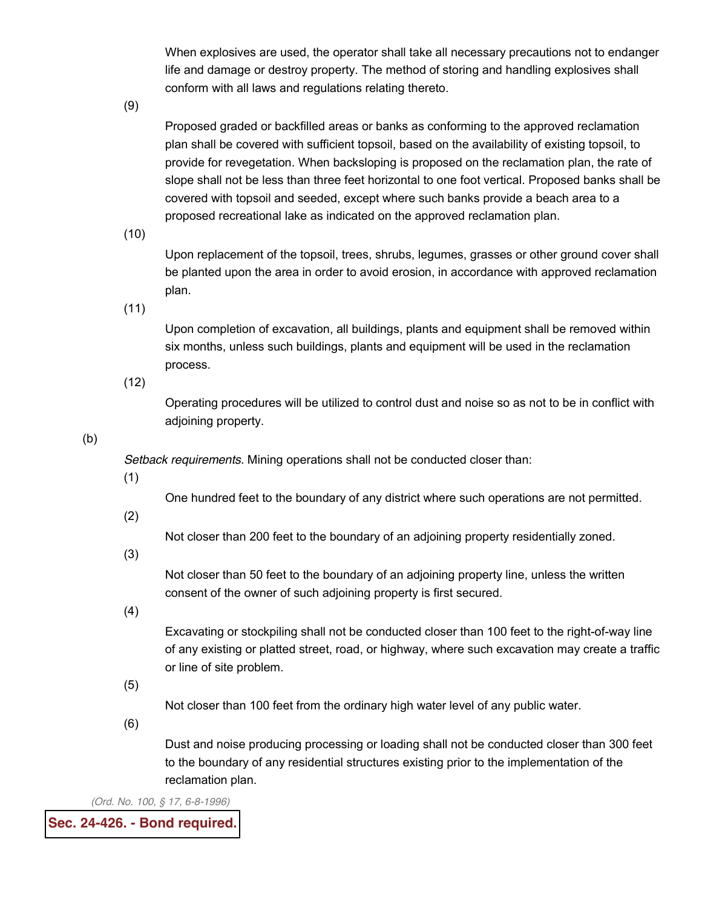When explosives are used, the operator shall take all necessary precautions not to endanger life and damage or destroy property. The method of storing and handling explosives shall conform with all laws and regulations relating thereto.

(9)

Proposed graded or backfilled areas or banks as conforming to the approved reclamation plan shall be covered with sufficient topsoil, based on the availability of existing topsoil, to provide for revegetation. When backsloping is proposed on the reclamation plan, the rate of slope shall not be less than three feet horizontal to one foot vertical. Proposed banks shall be covered with topsoil and seeded, except where such banks provide a beach area to a proposed recreational lake as indicated on the approved reclamation plan.

(10)

Upon replacement of the topsoil, trees, shrubs, legumes, grasses or other ground cover shall be planted upon the area in order to avoid erosion, in accordance with approved reclamation plan.

(11)

Upon completion of excavation, all buildings, plants and equipment shall be removed within six months, unless such buildings, plants and equipment will be used in the reclamation process.

(12)

Operating procedures will be utilized to control dust and noise so as not to be in conflict with adjoining property.

(b)

*Setback requirements.* Mining operations shall not be conducted closer than:

(1)

One hundred feet to the boundary of any district where such operations are not permitted.

(2)

Not closer than 200 feet to the boundary of an adjoining property residentially zoned.

(3)

Not closer than 50 feet to the boundary of an adjoining property line, unless the written consent of the owner of such adjoining property is first secured.

(4)

Excavating or stockpiling shall not be conducted closer than 100 feet to the right-of-way line of any existing or platted street, road, or highway, where such excavation may create a traffic or line of site problem.

(5)

Not closer than 100 feet from the ordinary high water level of any public water.

(6)

Dust and noise producing processing or loading shall not be conducted closer than 300 feet to the boundary of any residential structures existing prior to the implementation of the reclamation plan.

*(Ord. No. 100, § 17, 6-8-1996)*

**Sec. 24-426. - Bond [required.](javascript:void(0))**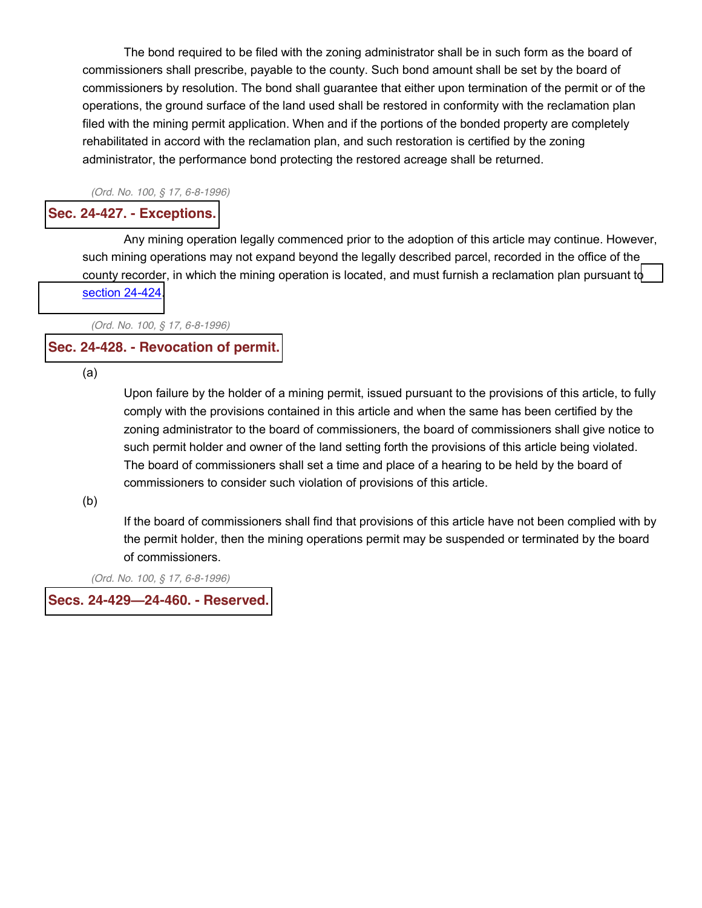The bond required to be filed with the zoning administrator shall be in such form as the board of commissioners shall prescribe, payable to the county. Such bond amount shall be set by the board of commissioners by resolution. The bond shall guarantee that either upon termination of the permit or of the operations, the ground surface of the land used shall be restored in conformity with the reclamation plan filed with the mining permit application. When and if the portions of the bonded property are completely rehabilitated in accord with the reclamation plan, and such restoration is certified by the zoning administrator, the performance bond protecting the restored acreage shall be returned.

*(Ord. No. 100, § 17, 6-8-1996)*

### **Sec. 24-427. - [Exceptions.](javascript:void(0))**

Any mining operation legally commenced prior to the adoption of this article may continue. However, such mining operations may not expand beyond the legally described parcel, recorded in the office of the county recorder, in which the mining operation is located, and must furnish a reclamation plan pursuant t[o](http://library.municode.com/HTML/13415/level3/CD_ORD_CH24ZO_ARTVIIMIEX.html#CD_ORD_CH24ZO_ARTVIIMIEX_S24-424REPL) section [24-424.](http://library.municode.com/HTML/13415/level3/CD_ORD_CH24ZO_ARTVIIMIEX.html#CD_ORD_CH24ZO_ARTVIIMIEX_S24-424REPL)

*(Ord. No. 100, § 17, 6-8-1996)*

# **Sec. 24-428. - [Revocation](javascript:void(0)) of permit.**

(a)

Upon failure by the holder of a mining permit, issued pursuant to the provisions of this article, to fully comply with the provisions contained in this article and when the same has been certified by the zoning administrator to the board of commissioners, the board of commissioners shall give notice to such permit holder and owner of the land setting forth the provisions of this article being violated. The board of commissioners shall set a time and place of a hearing to be held by the board of commissioners to consider such violation of provisions of this article.

(b)

If the board of commissioners shall find that provisions of this article have not been complied with by the permit holder, then the mining operations permit may be suspended or terminated by the board of commissioners.

*(Ord. No. 100, § 17, 6-8-1996)*

# **Secs. 24-429²24-460. - [Reserved.](javascript:void(0))**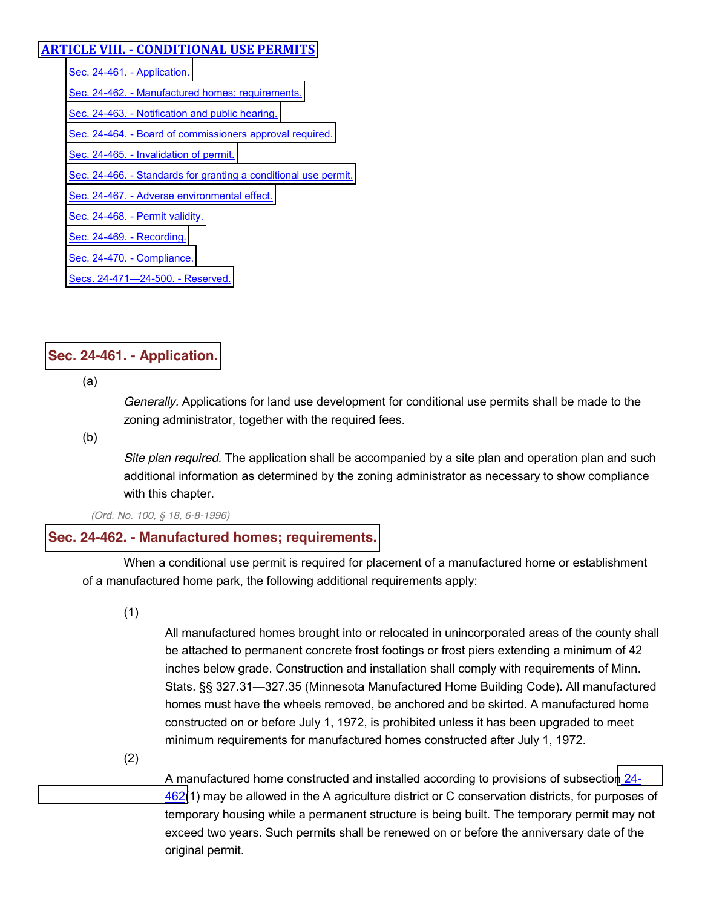# **ARTICLE VIII. - CONDITIONAL USE PERMITS**

[Sec. 24-461. -](http://library.municode.com/HTML/13415/level3/CD_ORD_CH24ZO_ARTVIIICOUSPE.html#CD_ORD_CH24ZO_ARTVIIICOUSPE_S24-461AP) Application. Sec. 24-462. - [Manufactured homes; requirements.](http://library.municode.com/HTML/13415/level3/CD_ORD_CH24ZO_ARTVIIICOUSPE.html#CD_ORD_CH24ZO_ARTVIIICOUSPE_S24-462MAHORE) Sec. 24-463. - [Notification and public hearing.](http://library.municode.com/HTML/13415/level3/CD_ORD_CH24ZO_ARTVIIICOUSPE.html#CD_ORD_CH24ZO_ARTVIIICOUSPE_S24-463NOPUHE) Sec. 24-464. - [Board of commissioners approval required.](http://library.municode.com/HTML/13415/level3/CD_ORD_CH24ZO_ARTVIIICOUSPE.html#CD_ORD_CH24ZO_ARTVIIICOUSPE_S24-464BOCOAPRE) Sec. 24-465. - [Invalidation of permit.](http://library.municode.com/HTML/13415/level3/CD_ORD_CH24ZO_ARTVIIICOUSPE.html#CD_ORD_CH24ZO_ARTVIIICOUSPE_S24-465INPE) Sec. 24-466. - [Standards for granting a conditional use permit.](http://library.municode.com/HTML/13415/level3/CD_ORD_CH24ZO_ARTVIIICOUSPE.html#CD_ORD_CH24ZO_ARTVIIICOUSPE_S24-466STGRCOUSPE) Sec. 24-467. - [Adverse environmental effect.](http://library.municode.com/HTML/13415/level3/CD_ORD_CH24ZO_ARTVIIICOUSPE.html#CD_ORD_CH24ZO_ARTVIIICOUSPE_S24-467ADENEF) Sec. 24-468. - [Permit validity.](http://library.municode.com/HTML/13415/level3/CD_ORD_CH24ZO_ARTVIIICOUSPE.html#CD_ORD_CH24ZO_ARTVIIICOUSPE_S24-468PEVA) [Sec. 24-469. -](http://library.municode.com/HTML/13415/level3/CD_ORD_CH24ZO_ARTVIIICOUSPE.html#CD_ORD_CH24ZO_ARTVIIICOUSPE_S24-469RE) Recording. [Sec. 24-470. -](http://library.municode.com/HTML/13415/level3/CD_ORD_CH24ZO_ARTVIIICOUSPE.html#CD_ORD_CH24ZO_ARTVIIICOUSPE_S24-470CO) Compliance. [Secs. 24-471](http://library.municode.com/HTML/13415/level3/CD_ORD_CH24ZO_ARTVIIICOUSPE.html#CD_ORD_CH24ZO_ARTVIIICOUSPE_SS24-471--24-500RE)-24-500. - Reserved.

# **Sec. 24-461. - [Application.](javascript:void(0))**

(a)

*Generally.* Applications for land use development for conditional use permits shall be made to the zoning administrator, together with the required fees.

(b)

*Site plan required.* The application shall be accompanied by a site plan and operation plan and such additional information as determined by the zoning administrator as necessary to show compliance with this chapter.

*(Ord. No. 100, § 18, 6-8-1996)*

# **Sec. 24-462. - Manufactured homes; [requirements.](javascript:void(0))**

When a conditional use permit is required for placement of a manufactured home or establishment of a manufactured home park, the following additional requirements apply:

(1)

All manufactured homes brought into or relocated in unincorporated areas of the county shall be attached to permanent concrete frost footings or frost piers extending a minimum of 42 inches below grade. Construction and installation shall comply with requirements of Minn. Stats. §§ 327.31—327.35 (Minnesota Manufactured Home Building Code). All manufactured homes must have the wheels removed, be anchored and be skirted. A manufactured home constructed on or before July 1, 1972, is prohibited unless it has been upgraded to meet minimum requirements for manufactured homes constructed after July 1, 1972.

(2)

A manufactured home constructed and installed according to provisions of subsection [24-](http://library.municode.com/HTML/13415/level3/CD_ORD_CH24ZO_ARTVIIICOUSPE.html#CD_ORD_CH24ZO_ARTVIIICOUSPE_S24-462MAHORE) [462\(](http://library.municode.com/HTML/13415/level3/CD_ORD_CH24ZO_ARTVIIICOUSPE.html#CD_ORD_CH24ZO_ARTVIIICOUSPE_S24-462MAHORE)1) may be allowed in the A agriculture district or C conservation districts, for purposes of temporary housing while a permanent structure is being built. The temporary permit may not exceed two years. Such permits shall be renewed on or before the anniversary date of the original permit.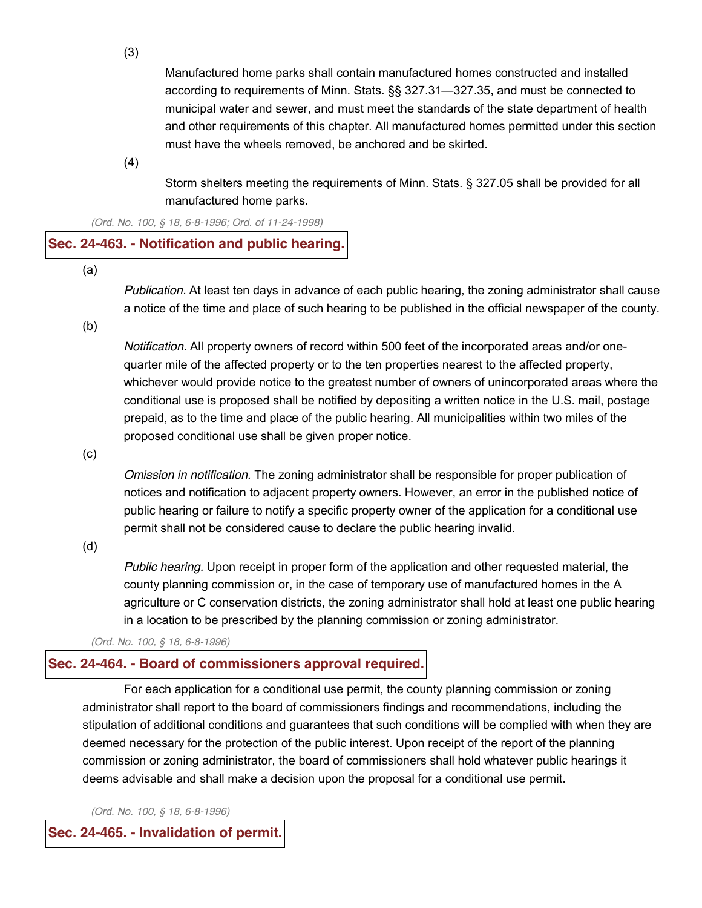(3)

Manufactured home parks shall contain manufactured homes constructed and installed according to requirements of Minn. Stats.  $\S$ § 327.31—327.35, and must be connected to municipal water and sewer, and must meet the standards of the state department of health and other requirements of this chapter. All manufactured homes permitted under this section must have the wheels removed, be anchored and be skirted.

(4)

Storm shelters meeting the requirements of Minn. Stats. § 327.05 shall be provided for all manufactured home parks.

*(Ord. No. 100, § 18, 6-8-1996; Ord. of 11-24-1998)*

#### **Sec. 24-463. - [Notification](javascript:void(0)) and public hearing.**

(a)

*Publication.* At least ten days in advance of each public hearing, the zoning administrator shall cause a notice of the time and place of such hearing to be published in the official newspaper of the county.

(b)

*Notification.* All property owners of record within 500 feet of the incorporated areas and/or onequarter mile of the affected property or to the ten properties nearest to the affected property, whichever would provide notice to the greatest number of owners of unincorporated areas where the conditional use is proposed shall be notified by depositing a written notice in the U.S. mail, postage prepaid, as to the time and place of the public hearing. All municipalities within two miles of the proposed conditional use shall be given proper notice.

(c)

*Omission in notification.* The zoning administrator shall be responsible for proper publication of notices and notification to adjacent property owners. However, an error in the published notice of public hearing or failure to notify a specific property owner of the application for a conditional use permit shall not be considered cause to declare the public hearing invalid.

(d)

*Public hearing.* Upon receipt in proper form of the application and other requested material, the county planning commission or, in the case of temporary use of manufactured homes in the A agriculture or C conservation districts, the zoning administrator shall hold at least one public hearing in a location to be prescribed by the planning commission or zoning administrator.

*(Ord. No. 100, § 18, 6-8-1996)*

#### **Sec. 24-464. - Board of [commissioners](javascript:void(0)) approval required.**

For each application for a conditional use permit, the county planning commission or zoning administrator shall report to the board of commissioners findings and recommendations, including the stipulation of additional conditions and guarantees that such conditions will be complied with when they are deemed necessary for the protection of the public interest. Upon receipt of the report of the planning commission or zoning administrator, the board of commissioners shall hold whatever public hearings it deems advisable and shall make a decision upon the proposal for a conditional use permit.

*(Ord. No. 100, § 18, 6-8-1996)*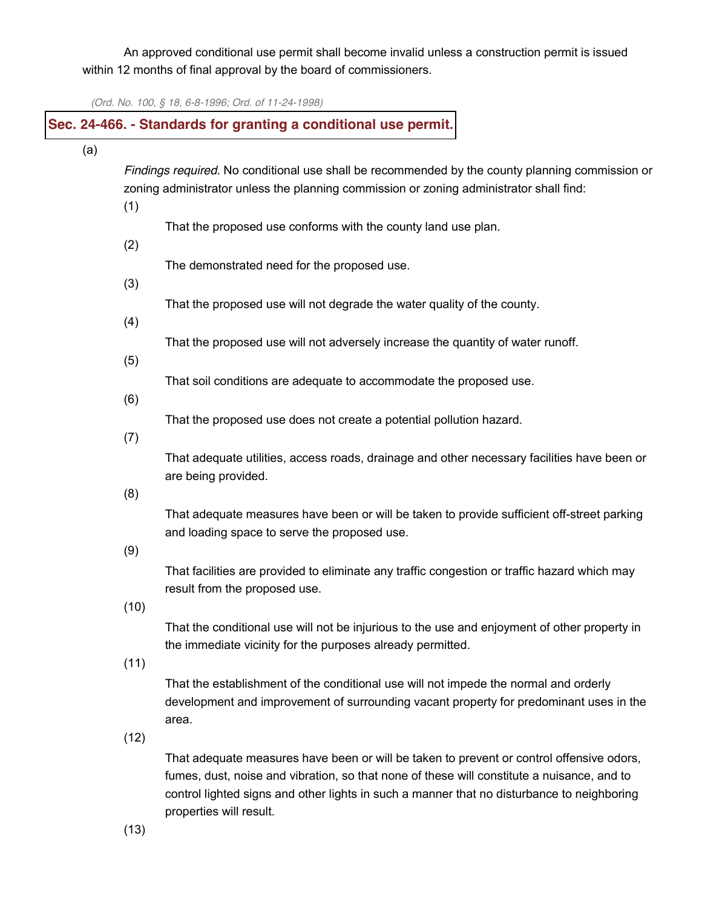An approved conditional use permit shall become invalid unless a construction permit is issued within 12 months of final approval by the board of commissioners.

*(Ord. No. 100, § 18, 6-8-1996; Ord. of 11-24-1998)*

# **Sec. 24-466. - Standards for granting a [conditional](javascript:void(0)) use permit.**

(a)

*Findings required.* No conditional use shall be recommended by the county planning commission or zoning administrator unless the planning commission or zoning administrator shall find:

(1)

That the proposed use conforms with the county land use plan.

(2)

The demonstrated need for the proposed use.

(3)

That the proposed use will not degrade the water quality of the county.

(4)

That the proposed use will not adversely increase the quantity of water runoff.

(5)

That soil conditions are adequate to accommodate the proposed use.

(6)

That the proposed use does not create a potential pollution hazard.

(7)

That adequate utilities, access roads, drainage and other necessary facilities have been or are being provided.

(8)

That adequate measures have been or will be taken to provide sufficient off-street parking and loading space to serve the proposed use.

(9)

That facilities are provided to eliminate any traffic congestion or traffic hazard which may result from the proposed use.

(10)

That the conditional use will not be injurious to the use and enjoyment of other property in the immediate vicinity for the purposes already permitted.

(11)

That the establishment of the conditional use will not impede the normal and orderly development and improvement of surrounding vacant property for predominant uses in the area.

(12)

That adequate measures have been or will be taken to prevent or control offensive odors, fumes, dust, noise and vibration, so that none of these will constitute a nuisance, and to control lighted signs and other lights in such a manner that no disturbance to neighboring properties will result.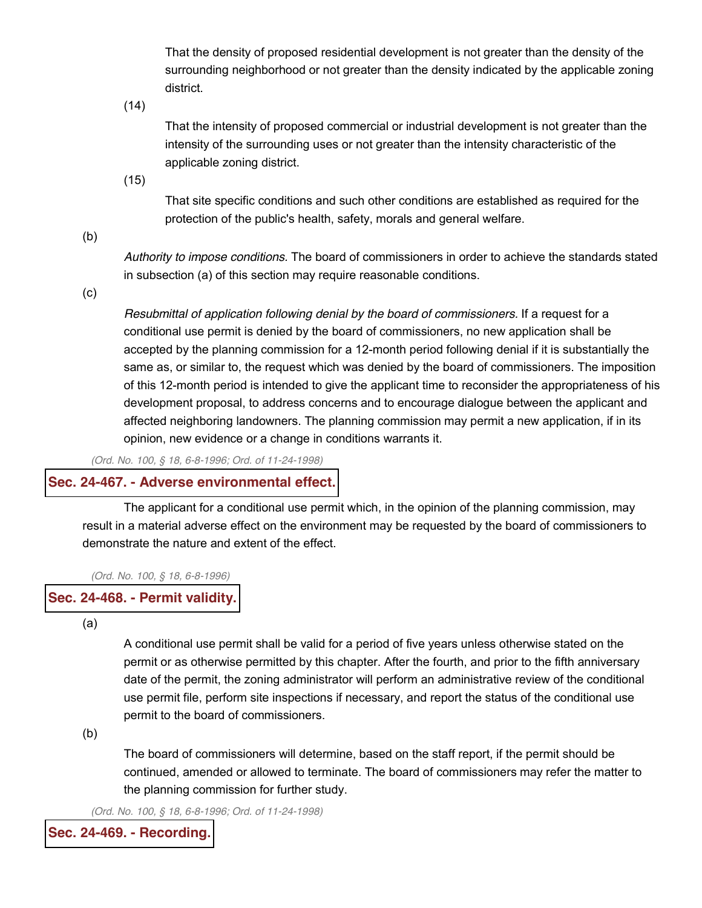That the density of proposed residential development is not greater than the density of the surrounding neighborhood or not greater than the density indicated by the applicable zoning district.

(14)

That the intensity of proposed commercial or industrial development is not greater than the intensity of the surrounding uses or not greater than the intensity characteristic of the applicable zoning district.

(15)

That site specific conditions and such other conditions are established as required for the protection of the public's health, safety, morals and general welfare.

(b)

*Authority to impose conditions.* The board of commissioners in order to achieve the standards stated in subsection (a) of this section may require reasonable conditions.

(c)

*Resubmittal of application following denial by the board of commissioners.* If a request for a conditional use permit is denied by the board of commissioners, no new application shall be accepted by the planning commission for a 12-month period following denial if it is substantially the same as, or similar to, the request which was denied by the board of commissioners. The imposition of this 12-month period is intended to give the applicant time to reconsider the appropriateness of his development proposal, to address concerns and to encourage dialogue between the applicant and affected neighboring landowners. The planning commission may permit a new application, if in its opinion, new evidence or a change in conditions warrants it.

*(Ord. No. 100, § 18, 6-8-1996; Ord. of 11-24-1998)*

#### **Sec. 24-467. - Adverse [environmental](javascript:void(0)) effect.**

The applicant for a conditional use permit which, in the opinion of the planning commission, may result in a material adverse effect on the environment may be requested by the board of commissioners to demonstrate the nature and extent of the effect.

*(Ord. No. 100, § 18, 6-8-1996)*

#### **Sec. 24-468. - Permit [validity.](javascript:void(0))**

(a)

A conditional use permit shall be valid for a period of five years unless otherwise stated on the permit or as otherwise permitted by this chapter. After the fourth, and prior to the fifth anniversary date of the permit, the zoning administrator will perform an administrative review of the conditional use permit file, perform site inspections if necessary, and report the status of the conditional use permit to the board of commissioners.

(b)

The board of commissioners will determine, based on the staff report, if the permit should be continued, amended or allowed to terminate. The board of commissioners may refer the matter to the planning commission for further study.

*(Ord. No. 100, § 18, 6-8-1996; Ord. of 11-24-1998)*